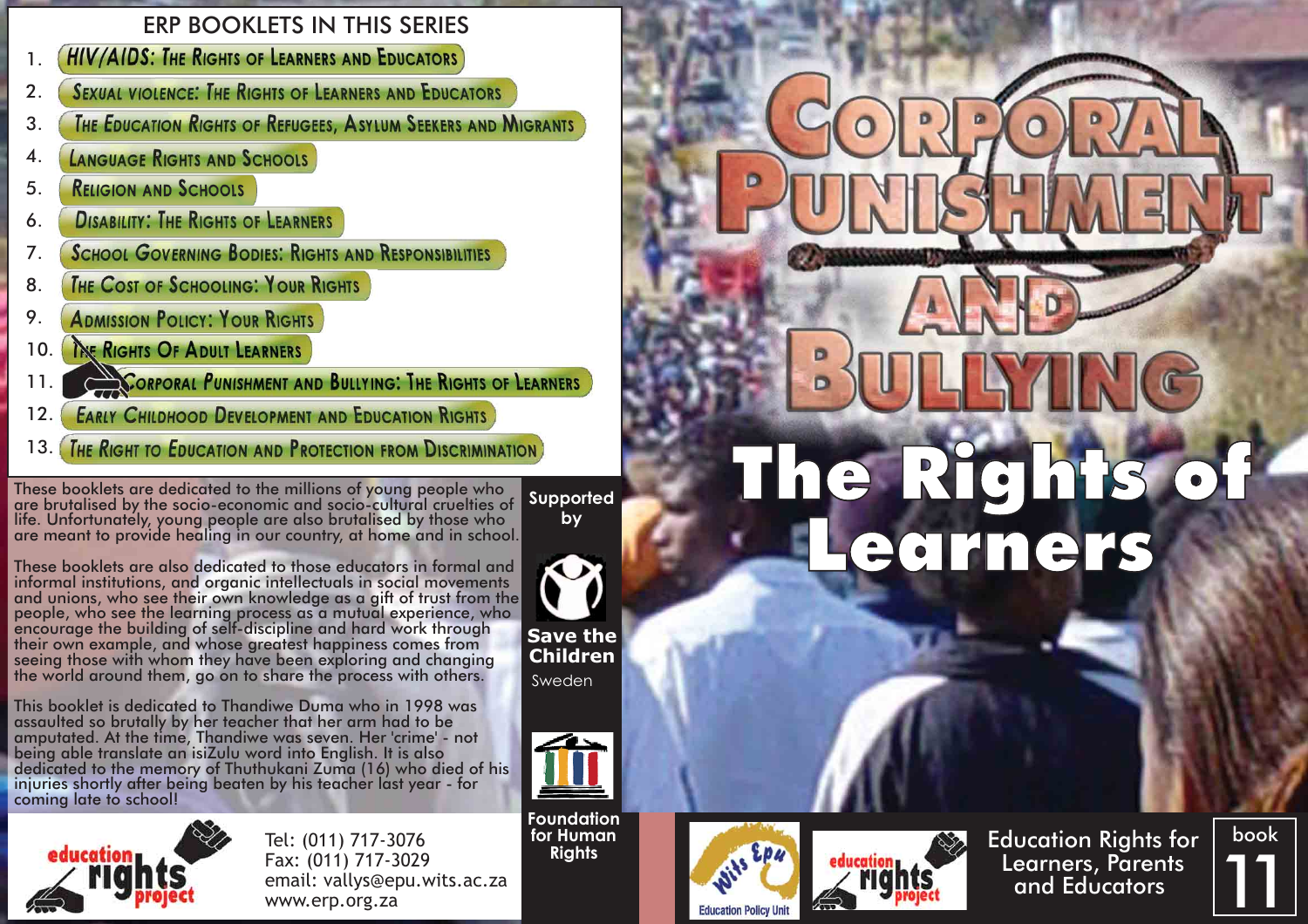# ERP BOOKLETS IN THIS SERIES

- **HIV/AIDS: THE RIGHTS OF LEARNERS AND EDUCATORS** 1.
- **SEXUAL VIOLENCE: THE RIGHTS OF LEARNERS AND EDUCATORS** 2.
- **THE EDUCATION RIGHTS OF REFUGEES, ASYLUM SEEKERS AND MIGRANTS** 3.
- 4. **LANGUAGE RIGHTS AND SCHOOLS**
- **RELIGION AND SCHOOLS** 5.
- **DISABILITY: THE RIGHTS OF LEARNERS** 6.
- **SCHOOL GOVERNING BODIES: RIGHTS AND RESPONSIBILITIES** 7.
- **THE COST OF SCHOOLING: YOUR RIGHTS** 8.
- 9. **ADMISSION POLICY: YOUR RIGHTS**
- THE RIGHTS OF ADULT LEARNERS 10.
- **CORPORAL PUNISHMENT AND BULLYING: THE RIGHTS OF LEARNERS** 11.
- **EARLY CHILDHOOD DEVELOPMENT AND EDUCATION RIGHTS** 12.
- 

These booklets are dedicated to the millions of young people who<br>are brutalised by the socio-economic and socio-cultural cruelties of **Supported**<br>life. Unfortunately, young people are also brutalised by those who **by**<br>are

**by**

◆

**Save the Children** Sweden

These booklets are also dedicated to those educators in formal and informal institutions, and organic intellectuals in social movements<br>and unions, who see their own knowledge as a gift of trust from the<br>people, who see the learning process as a mutual experience, who<br>encourage the buildi

This booklet is dedicated to Thandiwe Duma who in 1998 was assaulted so brutally by her teacher that her arm had to be amputated. At the time, Thandiwe was seven. Her 'crime' - not<br>being able translate an isiZulu word into English. It is also<br>dedicated to the memory of Thuthukani Zuma (16) who died of his<br>injuries shortly after being beate



Tel: (011) 717-3076 Fax: (011) 717-3029 email: vallys@epu.wits.ac.za www.erp.org.za

**Foundation for Human Rights**







book 11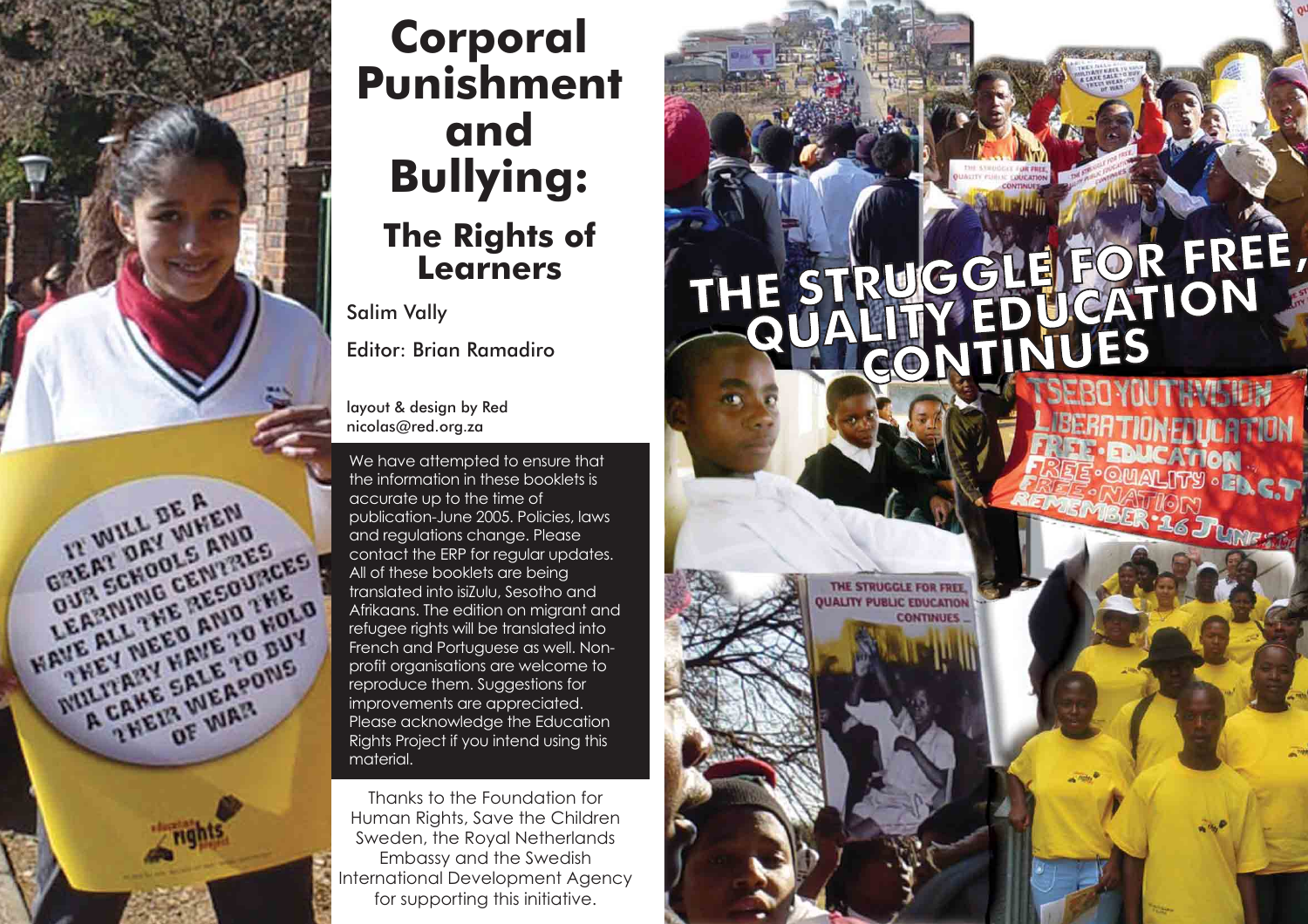

# **Corporal Punishment and Bullying: The Rights of Learners**

Salim Vally

Editor: Brian Ramadiro

layout & design by Red nicolas@red.org.za

We have attempted to ensure that the information in these booklets is accurate up to the time of publication-June 2005. Policies, laws and regulations change. Please contact the ERP for regular updates. All of these booklets are being translated into isiZulu, Sesotho and refugee rights will be translated into French and Portuguese as well. Nonprofit organisations are welcome to reproduce them. Suggestions for improvements are appreciated. Please acknowledge the Education Rights Project if you intend using this material.

Thanks to the Foundation for Human Rights, Save the Children Sweden, the Royal Netherlands Embassy and the Swedish International Development Agency for supporting this initiative.

# THE STRUGGLE FOR FREE,

THE STRUGGLE FOR FREE **JAUTY PUBLIC EDUCATION CONTINUES**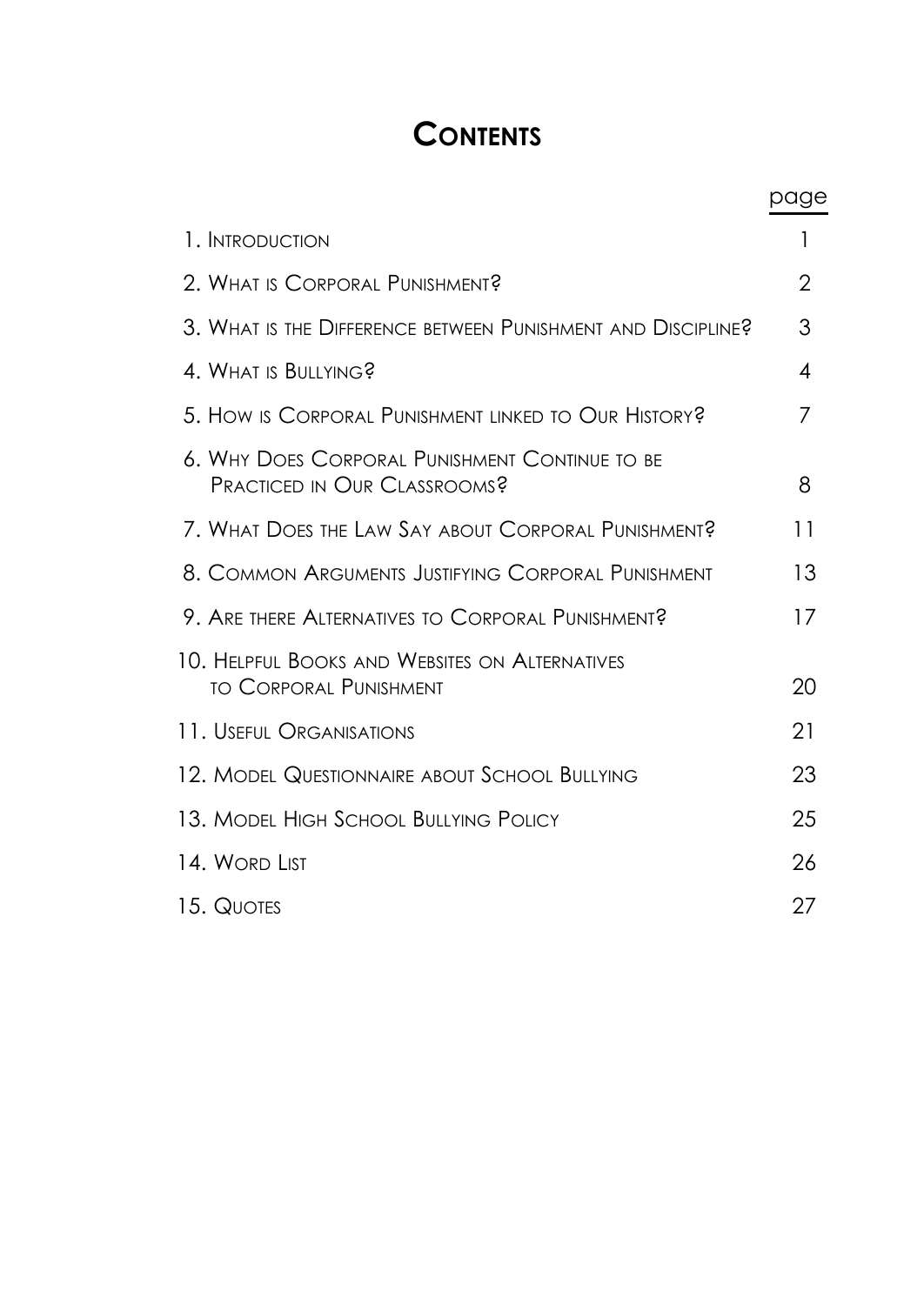# **CONTENTS**

|                                                                                 | page |
|---------------------------------------------------------------------------------|------|
| 1. INTRODUCTION                                                                 |      |
| 2. WHAT IS CORPORAL PUNISHMENT?                                                 | 2    |
| 3. WHAT IS THE DIFFERENCE BETWEEN PUNISHMENT AND DISCIPLINE?                    | 3    |
| 4. WHAT IS BULLYING?                                                            | 4    |
| 5. HOW IS CORPORAL PUNISHMENT LINKED TO OUR HISTORY?                            | 7    |
| 6. Why Does Corporal Punishment Continue to be<br>PRACTICED IN OUR CLASSROOMS?  | 8    |
| 7. What Does the Law Say about Corporal Punishment?                             | 11   |
| 8. COMMON ARGUMENTS JUSTIFYING CORPORAL PUNISHMENT                              | 13   |
| 9. ARE THERE ALTERNATIVES TO CORPORAL PUNISHMENT?                               | 17   |
| 10. HELPFUL BOOKS AND WEBSITES ON ALTERNATIVES<br><b>TO CORPORAL PUNISHMENT</b> | 20   |
| 11. USEFUL ORGANISATIONS                                                        | 21   |
| 12. MODEL QUESTIONNAIRE ABOUT SCHOOL BULLYING                                   | 23   |
| 13. MODEL HIGH SCHOOL BULLYING POLICY                                           | 25   |
| 14. Word List                                                                   | 26   |
| 15. QUOTES                                                                      | 27   |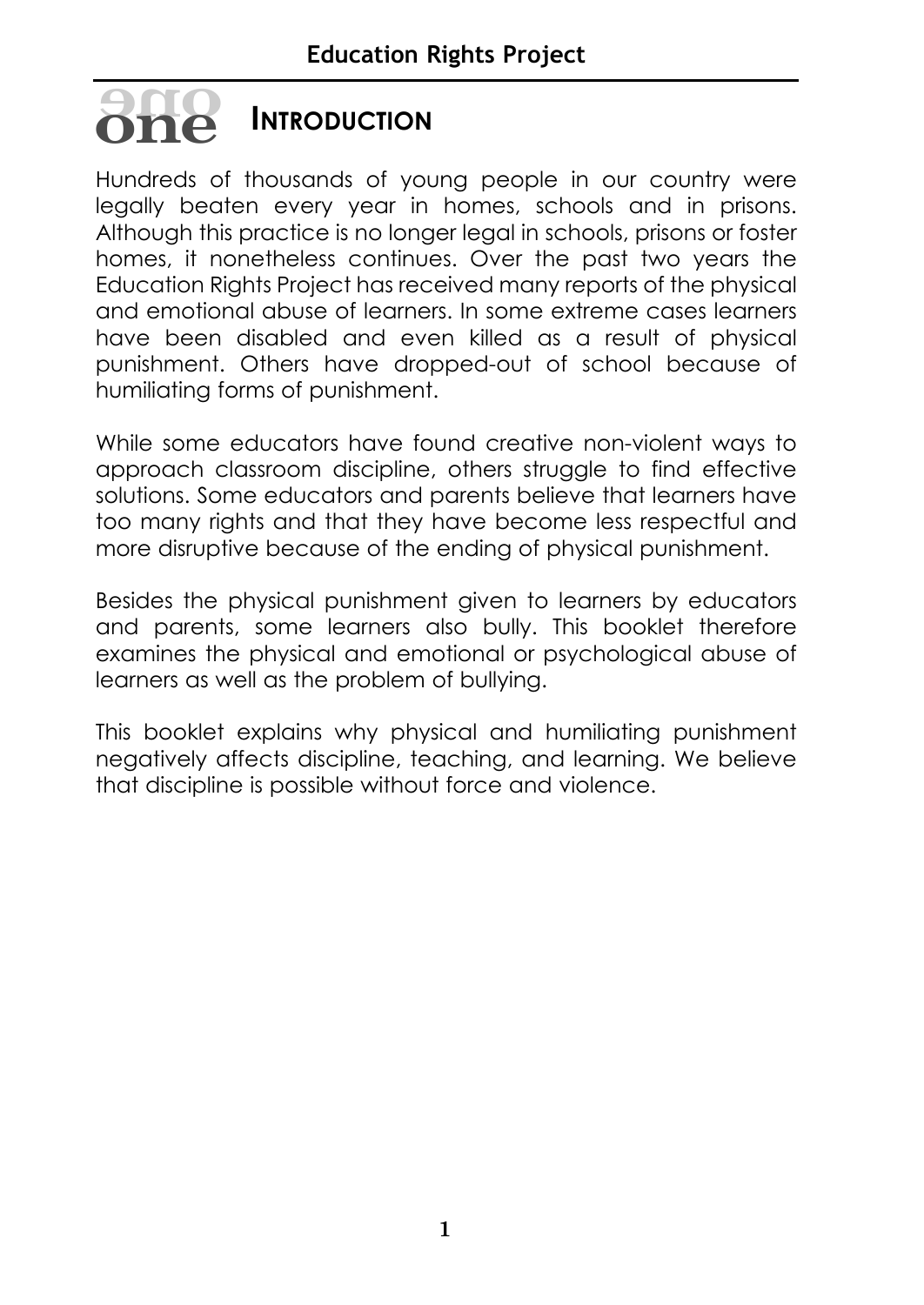# **INTRODUCTION oneone**

Hundreds of thousands of young people in our country were legally beaten every year in homes, schools and in prisons. Although this practice is no longer legal in schools, prisons or foster homes, it nonetheless continues. Over the past two years the Education Rights Project has received many reports of the physical and emotional abuse of learners. In some extreme cases learners have been disabled and even killed as a result of physical punishment. Others have dropped-out of school because of humiliating forms of punishment.

While some educators have found creative non-violent ways to approach classroom discipline, others struggle to find effective solutions. Some educators and parents believe that learners have too many rights and that they have become less respectful and more disruptive because of the ending of physical punishment.

Besides the physical punishment given to learners by educators and parents, some learners also bully. This booklet therefore examines the physical and emotional or psychological abuse of learners as well as the problem of bullying.

This booklet explains why physical and humiliating punishment negatively affects discipline, teaching, and learning. We believe that discipline is possible without force and violence.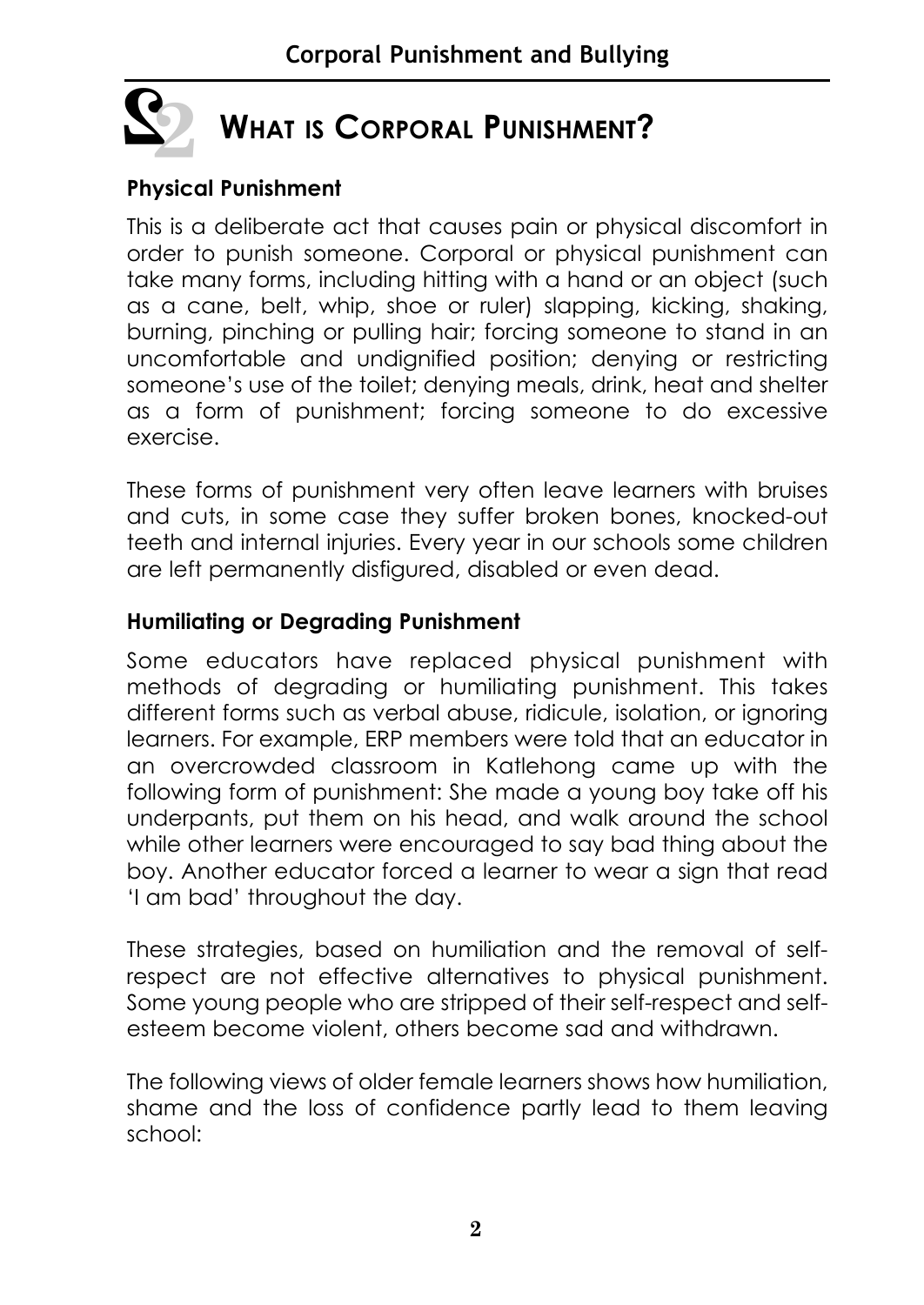

# **WHAT IS CORPORAL PUNISHMENT?**

#### **Physical Punishment**

This is a deliberate act that causes pain or physical discomfort in order to punish someone. Corporal or physical punishment can take many forms, including hitting with a hand or an object (such as a cane, belt, whip, shoe or ruler) slapping, kicking, shaking, burning, pinching or pulling hair; forcing someone to stand in an uncomfortable and undignified position; denying or restricting someone's use of the toilet; denying meals, drink, heat and shelter as a form of punishment; forcing someone to do excessive exercise.

These forms of punishment very often leave learners with bruises and cuts, in some case they suffer broken bones, knocked-out teeth and internal injuries. Every year in our schools some children are left permanently disfigured, disabled or even dead.

#### **Humiliating or Degrading Punishment**

Some educators have replaced physical punishment with methods of degrading or humiliating punishment. This takes different forms such as verbal abuse, ridicule, isolation, or ignoring learners. For example, ERP members were told that an educator in an overcrowded classroom in Katlehong came up with the following form of punishment: She made a young boy take off his underpants, put them on his head, and walk around the school while other learners were encouraged to say bad thing about the boy. Another educator forced a learner to wear a sign that read 'I am bad' throughout the day.

These strategies, based on humiliation and the removal of selfrespect are not effective alternatives to physical punishment. Some young people who are stripped of their self-respect and selfesteem become violent, others become sad and withdrawn.

The following views of older female learners shows how humiliation, shame and the loss of confidence partly lead to them leaving school: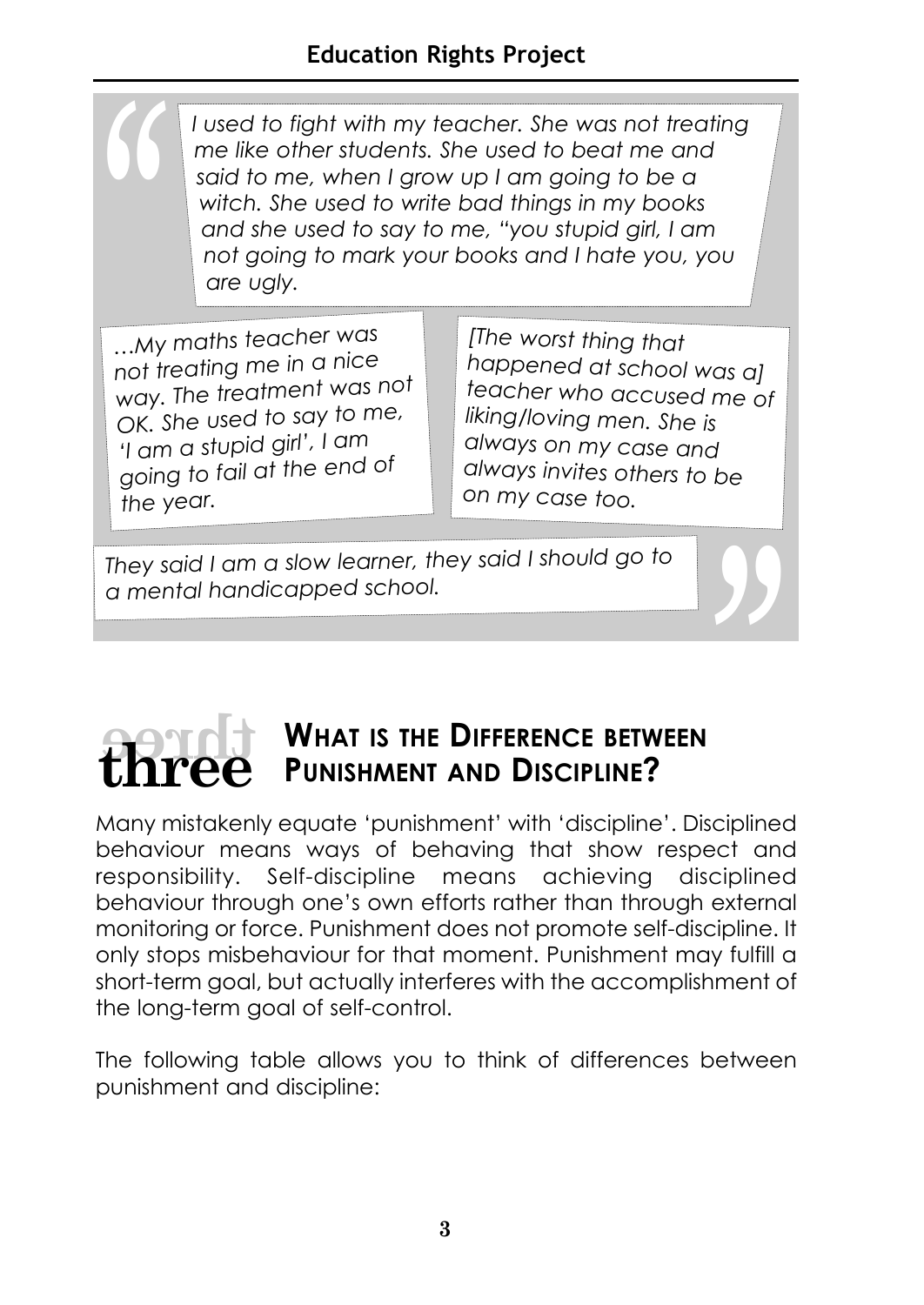*I used to fight with my teacher. She was not treating me like other students. She used to beat me and said to me, when I grow up I am going to be a witch. She used to write bad things in my books and she used to say to me, "you stupid girl, I am not going to mark your books and I hate you, you are ugly.*

*…My maths teacher was not treating me in a nice way. The treatment was not OK. She used to say to me, 'I am a stupid girl', I am going to fail at the end of the year.*

*[The worst thing that happened at school was a] teacher who accused me of liking/loving men. She is always on my case and always invites others to be on my case too.*

*They said I am a slow learner, they said I should go to a mental handicapped school.*

# **WHAT IS THE DIFFERENCE BETWEEN PUNISHMENT AND DISCIPLINE?** *"* **threethree**

Many mistakenly equate 'punishment' with 'discipline'. Disciplined behaviour means ways of behaving that show respect and responsibility. Self-discipline means achieving disciplined behaviour through one's own efforts rather than through external monitoring or force. Punishment does not promote self-discipline. It only stops misbehaviour for that moment. Punishment may fulfill a short-term goal, but actually interferes with the accomplishment of the long-term goal of self-control.

The following table allows you to think of differences between punishment and discipline: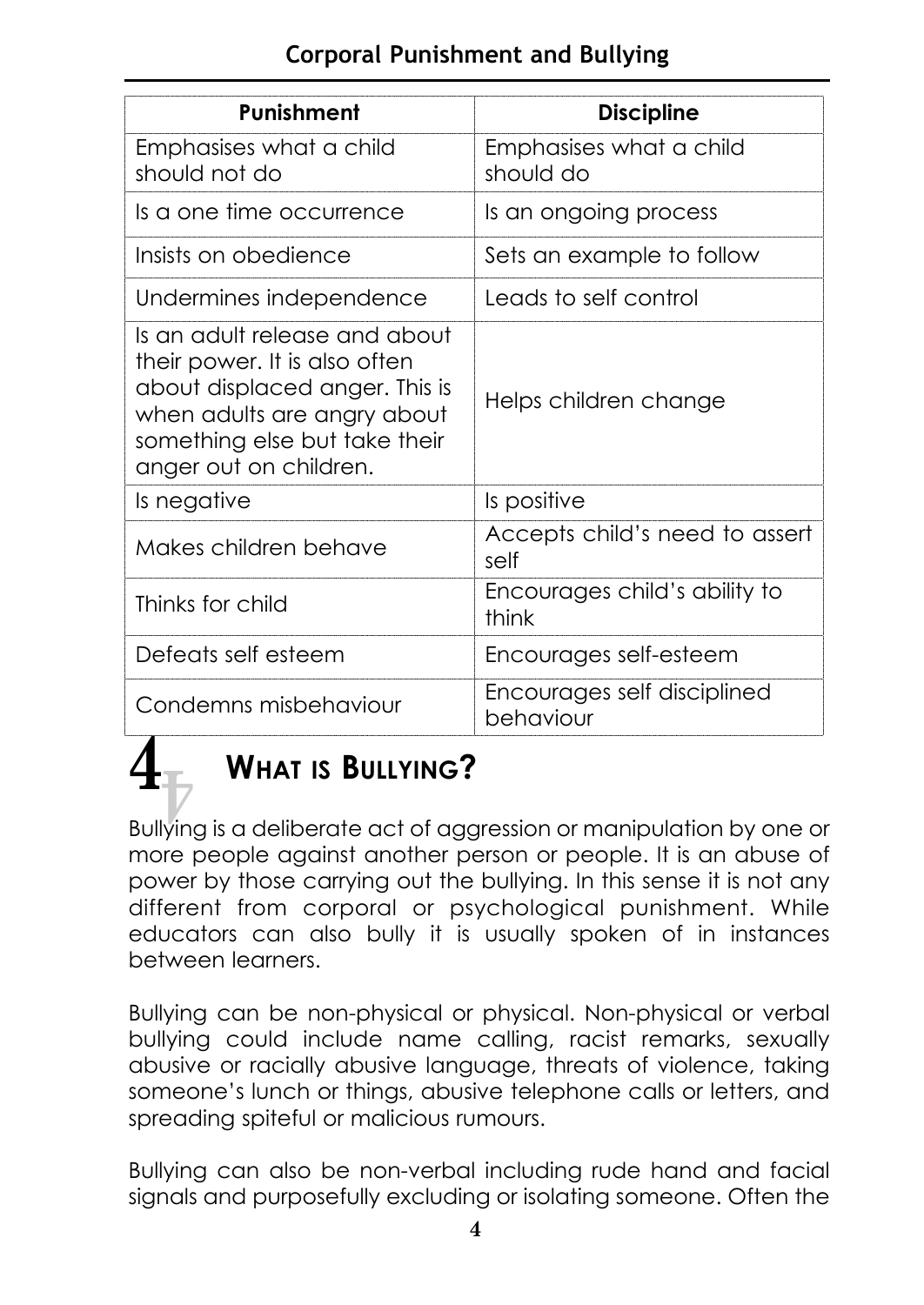#### **Corporal Punishment and Bullying**

| <b>Punishment</b>                                                                                                                                                                          | <b>Discipline</b>                        |
|--------------------------------------------------------------------------------------------------------------------------------------------------------------------------------------------|------------------------------------------|
| Emphasises what a child<br>should not do                                                                                                                                                   | Emphasises what a child<br>should do     |
| Is a one time occurrence                                                                                                                                                                   | Is an ongoing process                    |
| Insists on obedience                                                                                                                                                                       | Sets an example to follow                |
| Undermines independence                                                                                                                                                                    | Leads to self control                    |
| Is an adult release and about<br>their power. It is also often<br>about displaced anger. This is<br>when adults are angry about<br>something else but take their<br>anger out on children. | Helps children change                    |
| Is negative                                                                                                                                                                                | Is positive                              |
| Makes children behave                                                                                                                                                                      | Accepts child's need to assert<br>self   |
| Thinks for child                                                                                                                                                                           | Encourages child's ability to<br>think   |
| Defeats self esteem                                                                                                                                                                        | Encourages self-esteem                   |
| Condemns misbehaviour                                                                                                                                                                      | Encourages self disciplined<br>behaviour |

# $\frac{4}{\sqrt{2}}$

# **WHAT IS BULLYING?**

Bullying is a deliberate act of aggression or manipulation by one or more people against another person or people. It is an abuse of power by those carrying out the bullying. In this sense it is not any different from corporal or psychological punishment. While educators can also bully it is usually spoken of in instances between learners.

Bullying can be non-physical or physical. Non-physical or verbal bullying could include name calling, racist remarks, sexually abusive or racially abusive language, threats of violence, taking someone's lunch or things, abusive telephone calls or letters, and spreading spiteful or malicious rumours.

Bullying can also be non-verbal including rude hand and facial signals and purposefully excluding or isolating someone. Often the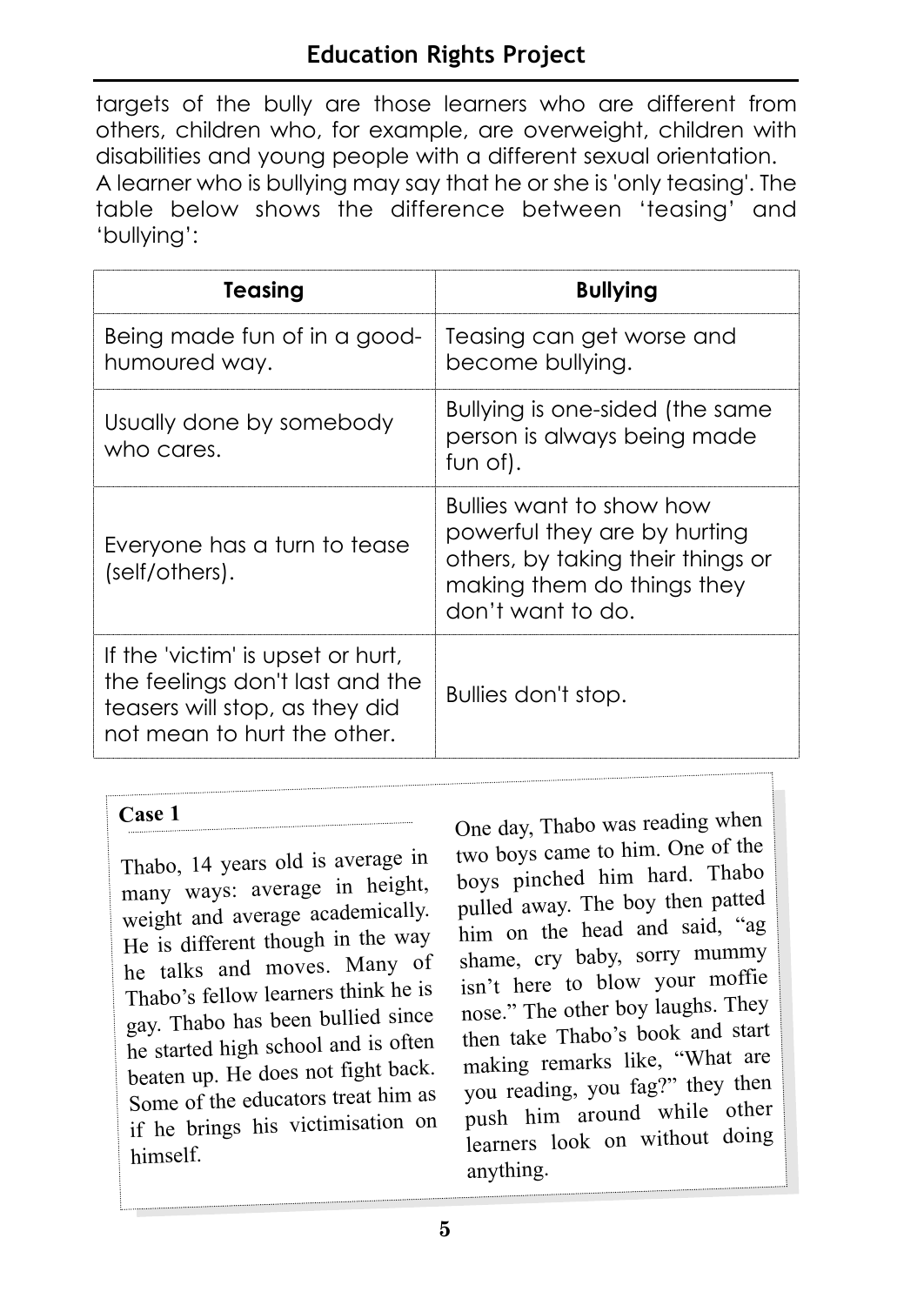#### **Education Rights Project**

targets of the bully are those learners who are different from others, children who, for example, are overweight, children with disabilities and young people with a different sexual orientation. A learner who is bullying may say that he or she is 'only teasing'. The table below shows the difference between 'teasing' and 'bullying':

| Teasing                                                                                                                               | <b>Bullying</b>                                                                                                                                  |
|---------------------------------------------------------------------------------------------------------------------------------------|--------------------------------------------------------------------------------------------------------------------------------------------------|
| Being made fun of in a good-<br>humoured way.                                                                                         | Teasing can get worse and<br>become bullying.                                                                                                    |
| Usually done by somebody<br>who cares.                                                                                                | Bullying is one-sided (the same<br>person is always being made<br>fun of).                                                                       |
| Everyone has a turn to tease<br>(self/others).                                                                                        | Bullies want to show how<br>powerful they are by hurting<br>others, by taking their things or<br>making them do things they<br>don't want to do. |
| If the 'victim' is upset or hurt,<br>the feelings don't last and the<br>teasers will stop, as they did<br>not mean to hurt the other. | Bullies don't stop.                                                                                                                              |

#### **Case 1**

Thabo, 14 years old is average in many ways: average in height, weight and average academically. He is different though in the way he talks and moves. Many o<sup>f</sup> Thabo's fellow learners think he is gay. Thabo has been bullied since he started high school and is often beaten up. He does not fight back. Some of the educators treat him as if he brings his victimisation on himself.

One day, Thabo was reading when two boys came to him. One of the boys pinched him hard. Thabo pulled away. The boy then patte<sup>d</sup> him on the head and said, "ag shame, cry baby, sorry mummy isn't here to blow your moffie nose." The other boy laughs. They then take Thabo's book and start making remarks like, "What are you reading, you fag?" they then push him around while other learners look on without doing anything.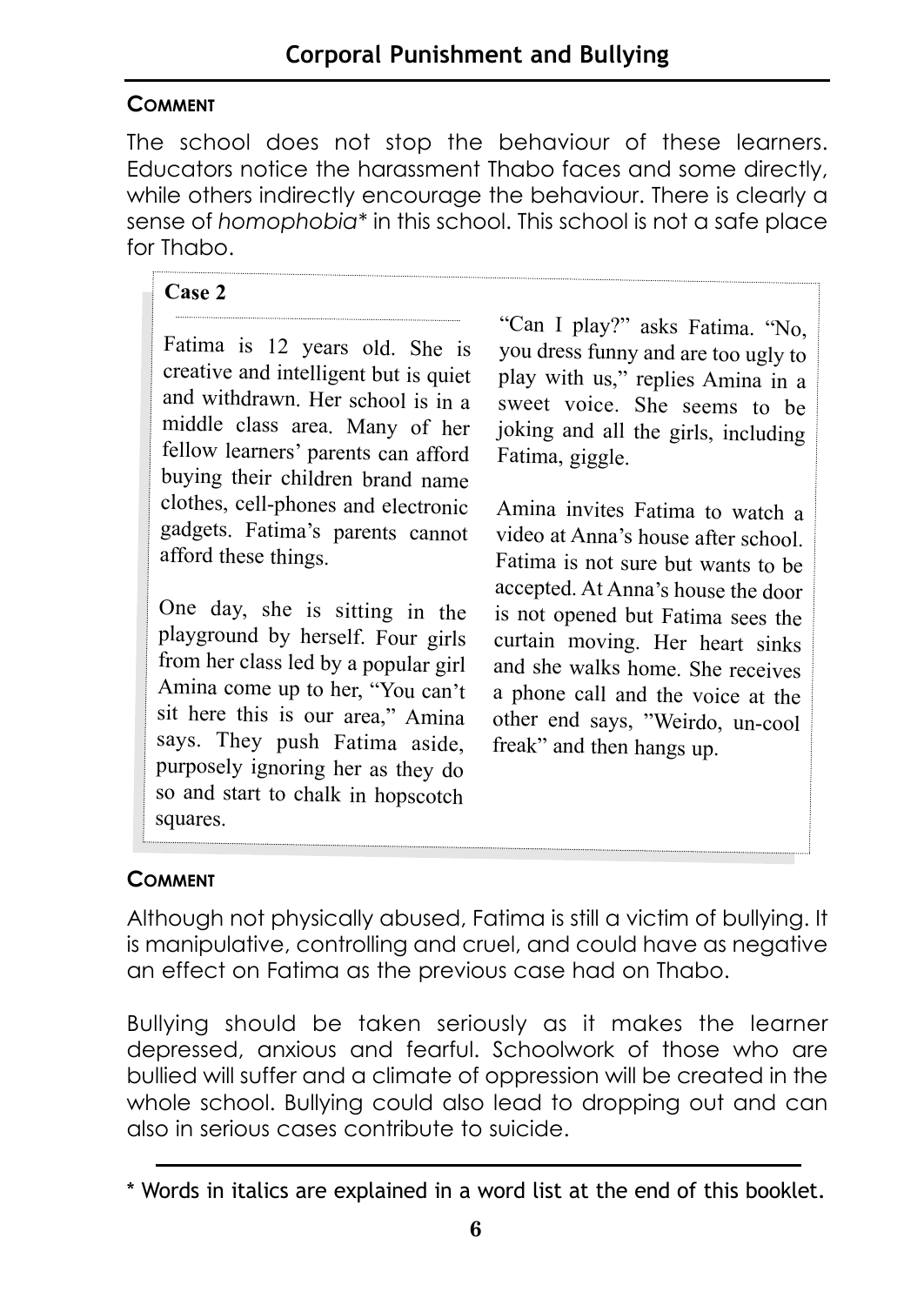#### **COMMENT**

The school does not stop the behaviour of these learners. Educators notice the harassment Thabo faces and some directly, while others indirectly encourage the behaviour. There is clearly a sense of *homophobia\** in this school. This school is not a safe place for Thabo.

#### **Case 2**

Fatima is 12 years old. She is creative and intelligent but is quiet and withdrawn. Her school is in a middle class area. Many of her fellow learners' parents can afford buying their children brand name clothes, cell-phones and electronic gadgets. Fatima's parents cannot afford these things.

One day, she is sitting in the <sup>p</sup>layground by herself. Four girls from her class led by a popular girl Amina come up to her, "You can't sit here this is our area," Amina says. They push Fatima aside, purposely ignoring her as they do so and start to chalk in hopscotch squares.

"Can I play?" asks Fatima. "No, you dress funny and are too ugly to <sup>p</sup>lay with us," replies Amina in a sweet voice. She seems to be joking and all the girls, including Fatima, giggle.

Amina invites Fatima to watch a video at Anna's house after school. Fatima is not sure but wants to be accepted. At Anna's house the door is not opened but Fatima sees the curtain moving. Her heart sinks and she walks home. She receives a phone call and the voice at the other end says, "Weirdo, un-cool freak" and then hangs up.

#### **COMMENT**

Although not physically abused, Fatima is still a victim of bullying. It is manipulative, controlling and cruel, and could have as negative an effect on Fatima as the previous case had on Thabo.

Bullying should be taken seriously as it makes the learner depressed, anxious and fearful. Schoolwork of those who are bullied will suffer and a climate of oppression will be created in the whole school. Bullying could also lead to dropping out and can also in serious cases contribute to suicide.

<sup>\*</sup> Words in italics are explained in a word list at the end of this booklet.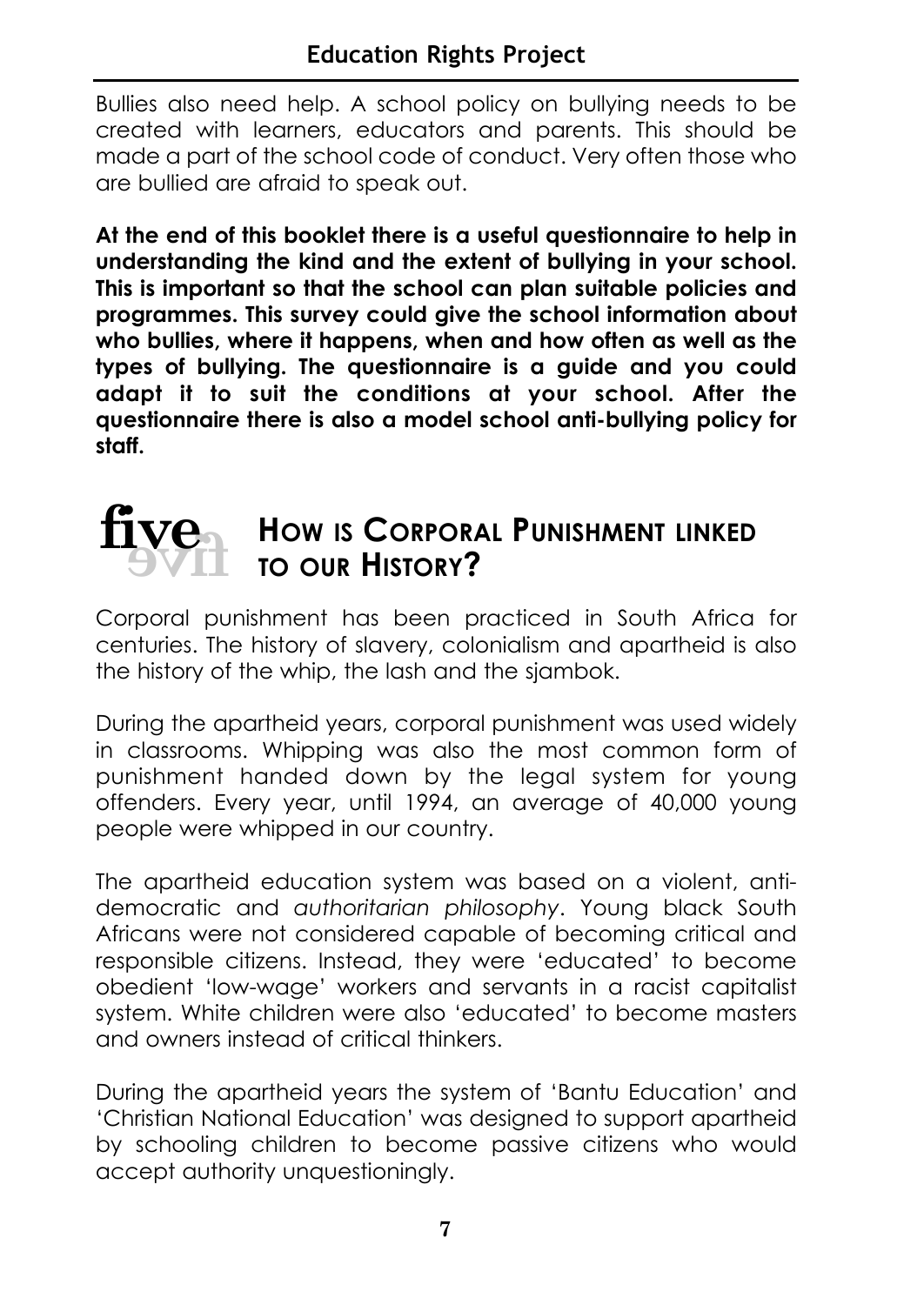Bullies also need help. A school policy on bullying needs to be created with learners, educators and parents. This should be made a part of the school code of conduct. Very often those who are bullied are afraid to speak out.

**At the end of this booklet there is a useful questionnaire to help in understanding the kind and the extent of bullying in your school. This is important so that the school can plan suitable policies and programmes. This survey could give the school information about who bullies, where it happens, when and how often as well as the types of bullying. The questionnaire is a guide and you could adapt it to suit the conditions at your school. After the questionnaire there is also a model school anti-bullying policy for staff.**

# **five five**

# **HOW IS CORPORAL PUNISHMENT LINKED TO OUR HISTORY?**

Corporal punishment has been practiced in South Africa for centuries. The history of slavery, colonialism and apartheid is also the history of the whip, the lash and the sjambok.

During the apartheid years, corporal punishment was used widely in classrooms. Whipping was also the most common form of punishment handed down by the legal system for young offenders. Every year, until 1994, an average of 40,000 young people were whipped in our country.

The apartheid education system was based on a violent, antidemocratic and *authoritarian philosophy*. Young black South Africans were not considered capable of becoming critical and responsible citizens. Instead, they were 'educated' to become obedient 'low-wage' workers and servants in a racist capitalist system. White children were also 'educated' to become masters and owners instead of critical thinkers.

During the apartheid years the system of 'Bantu Education' and 'Christian National Education' was designed to support apartheid by schooling children to become passive citizens who would accept authority unquestioningly.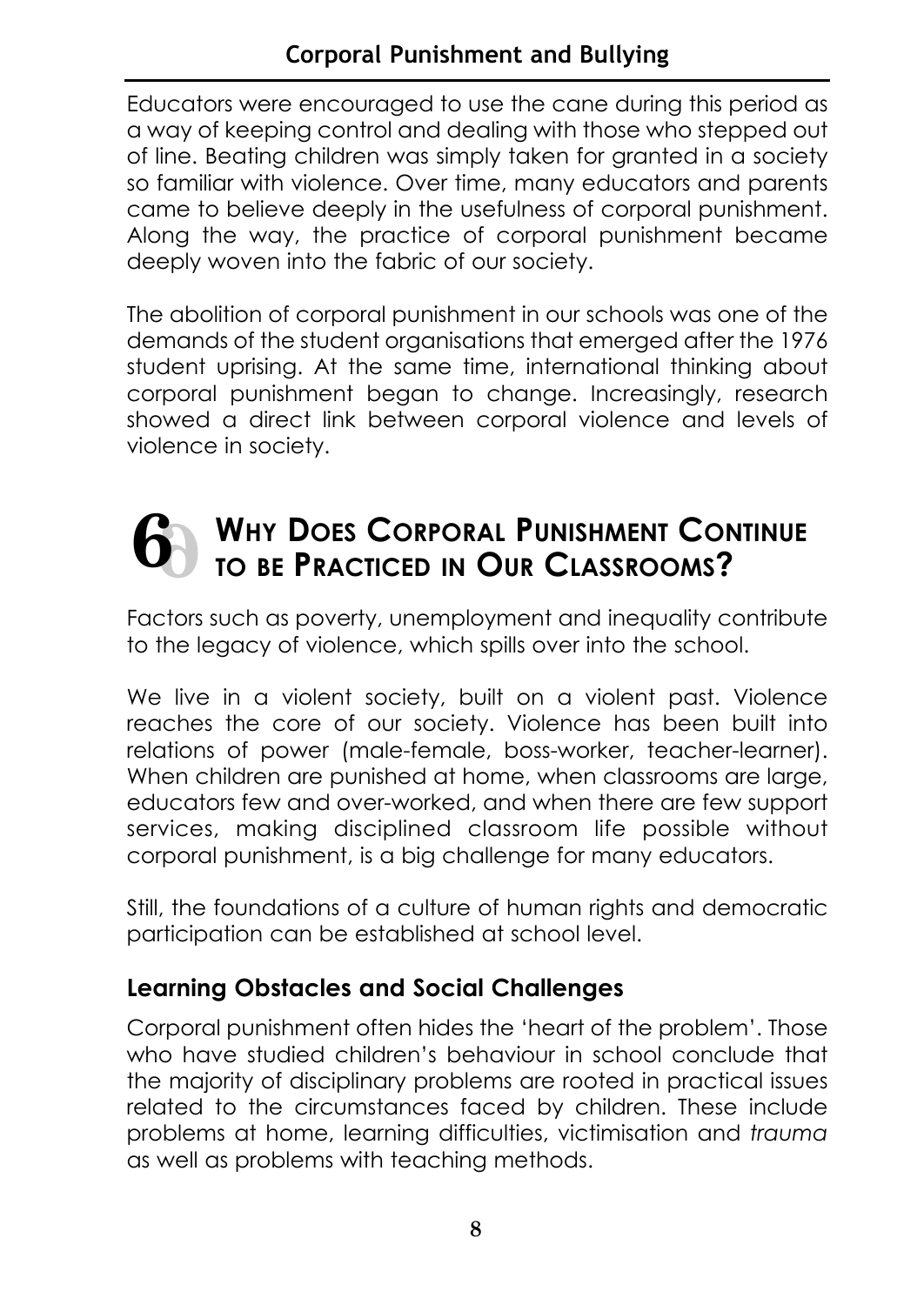Educators were encouraged to use the cane during this period as a way of keeping control and dealing with those who stepped out of line. Beating children was simply taken for granted in a society so familiar with violence. Over time, many educators and parents came to believe deeply in the usefulness of corporal punishment. Along the way, the practice of corporal punishment became deeply woven into the fabric of our society.

The abolition of corporal punishment in our schools was one of the demands of the student organisations that emerged after the 1976 student uprising. At the same time, international thinking about corporal punishment began to change. Increasingly, research showed a direct link between corporal violence and levels of violence in society.

#### **WHY DOES CORPORAL PUNISHMENT CONTINUE TO BE PRACTICED IN OUR CLASSROOMS? 6 6**

Factors such as poverty, unemployment and inequality contribute to the legacy of violence, which spills over into the school.

We live in a violent society, built on a violent past. Violence reaches the core of our society. Violence has been built into relations of power (male-female, boss-worker, teacher-learner). When children are punished at home, when classrooms are large, educators few and over-worked, and when there are few support services, making disciplined classroom life possible without corporal punishment, is a big challenge for many educators.

Still, the foundations of a culture of human rights and democratic participation can be established at school level.

#### **Learning Obstacles and Social Challenges**

Corporal punishment often hides the 'heart of the problem'. Those who have studied children's behaviour in school conclude that the majority of disciplinary problems are rooted in practical issues related to the circumstances faced by children. These include problems at home, learning difficulties, victimisation and *trauma* as well as problems with teaching methods.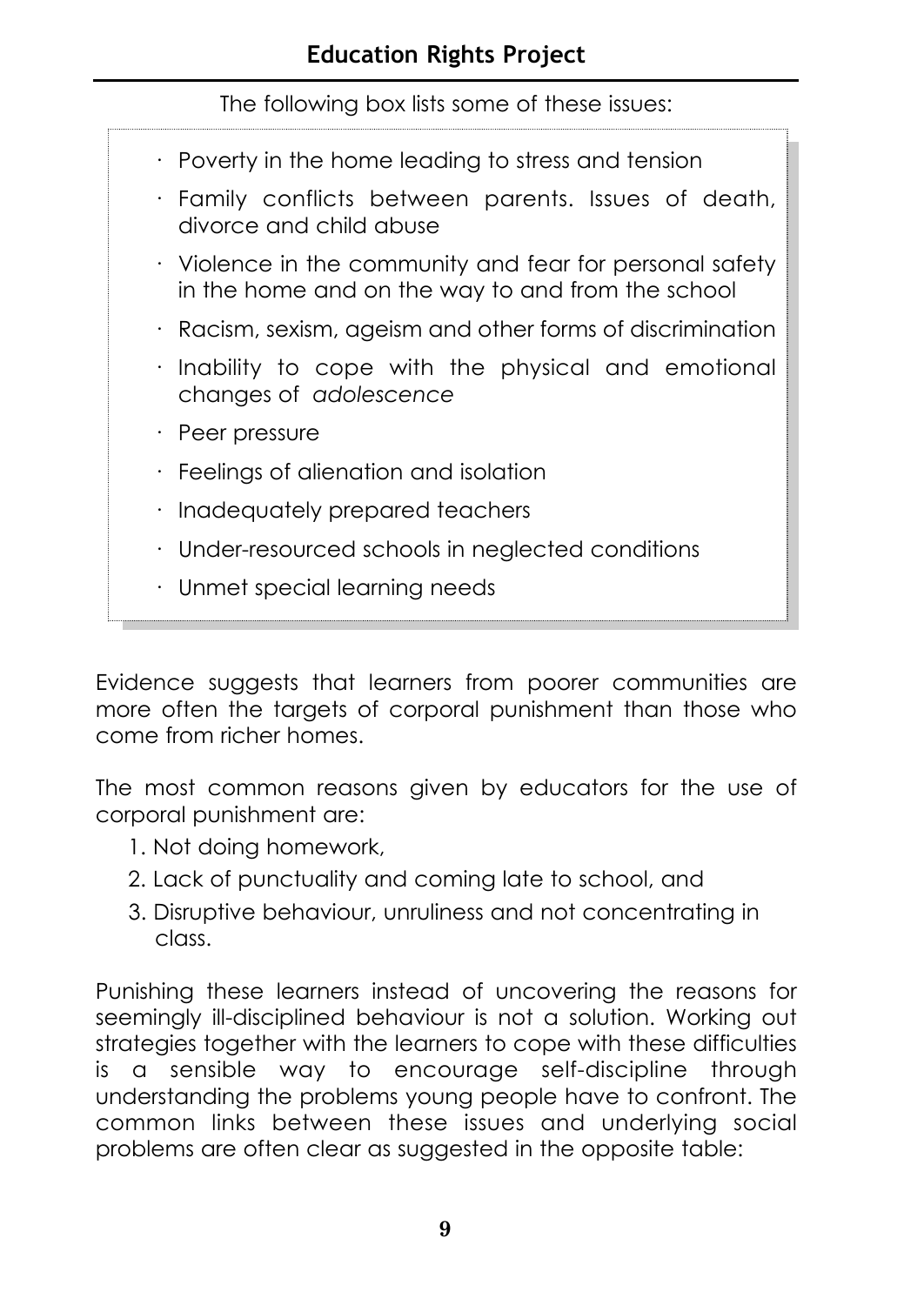| The following box lists some of these issues:                                                                 |
|---------------------------------------------------------------------------------------------------------------|
| · Poverty in the home leading to stress and tension                                                           |
| · Family conflicts between parents. Issues of death,<br>divorce and child abuse                               |
| • Violence in the community and fear for personal safety<br>in the home and on the way to and from the school |
| · Racism, sexism, ageism and other forms of discrimination                                                    |
| · Inability to cope with the physical and emotional<br>changes of adolescence                                 |
| $\cdot$ Peer pressure                                                                                         |
| $\cdot$ Feelings of alienation and isolation                                                                  |
| $\cdot$ Inadequately prepared teachers                                                                        |
| · Under-resourced schools in neglected conditions                                                             |
| · Unmet special learning needs                                                                                |

Evidence suggests that learners from poorer communities are more often the targets of corporal punishment than those who come from richer homes.

The most common reasons given by educators for the use of corporal punishment are:

- 1. Not doing homework,
- 2. Lack of punctuality and coming late to school, and
- 3. Disruptive behaviour, unruliness and not concentrating in class.

Punishing these learners instead of uncovering the reasons for seemingly ill-disciplined behaviour is not a solution. Working out strategies together with the learners to cope with these difficulties is a sensible way to encourage self-discipline through understanding the problems young people have to confront. The common links between these issues and underlying social problems are often clear as suggested in the opposite table: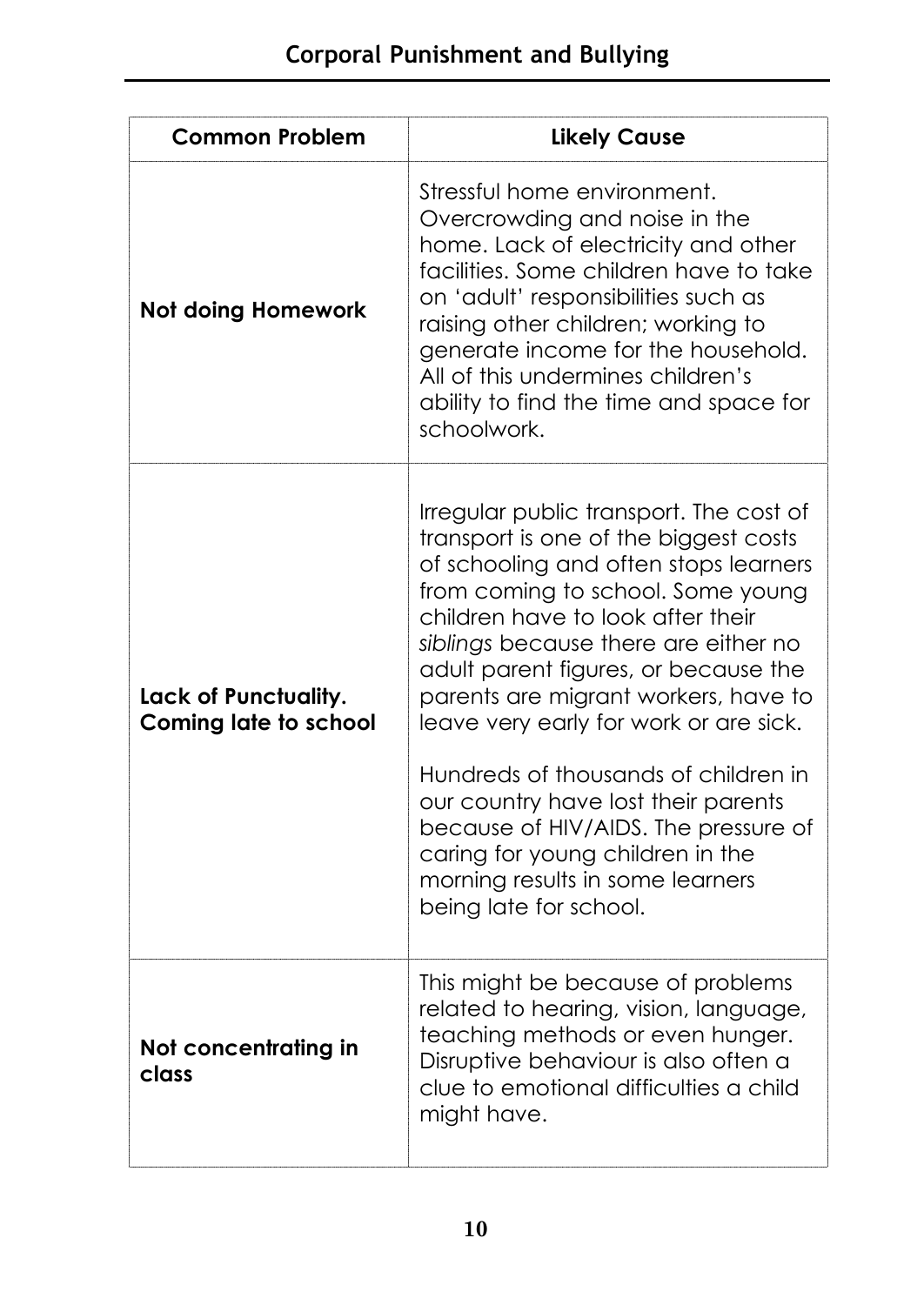| <b>Common Problem</b>                                | <b>Likely Cause</b>                                                                                                                                                                                                                                                                                                                                                                                                                                                                                                                                                                            |
|------------------------------------------------------|------------------------------------------------------------------------------------------------------------------------------------------------------------------------------------------------------------------------------------------------------------------------------------------------------------------------------------------------------------------------------------------------------------------------------------------------------------------------------------------------------------------------------------------------------------------------------------------------|
| <b>Not doing Homework</b>                            | Stressful home environment.<br>Overcrowding and noise in the<br>home. Lack of electricity and other<br>facilities. Some children have to take<br>on 'adult' responsibilities such as<br>raising other children; working to<br>generate income for the household.<br>All of this undermines children's<br>ability to find the time and space for<br>schoolwork.                                                                                                                                                                                                                                 |
| Lack of Punctuality.<br><b>Coming late to school</b> | Irregular public transport. The cost of<br>transport is one of the biggest costs<br>of schooling and often stops learners<br>from coming to school. Some young<br>children have to look after their<br>siblings because there are either no<br>adult parent figures, or because the<br>parents are migrant workers, have to<br>leave very early for work or are sick.<br>Hundreds of thousands of children in<br>our country have lost their parents<br>because of HIV/AIDS. The pressure of<br>caring for young children in the<br>morning results in some learners<br>being late for school. |
| Not concentrating in<br>class                        | This might be because of problems<br>related to hearing, vision, language,<br>teaching methods or even hunger.<br>Disruptive behaviour is also often a<br>clue to emotional difficulties a child<br>might have.                                                                                                                                                                                                                                                                                                                                                                                |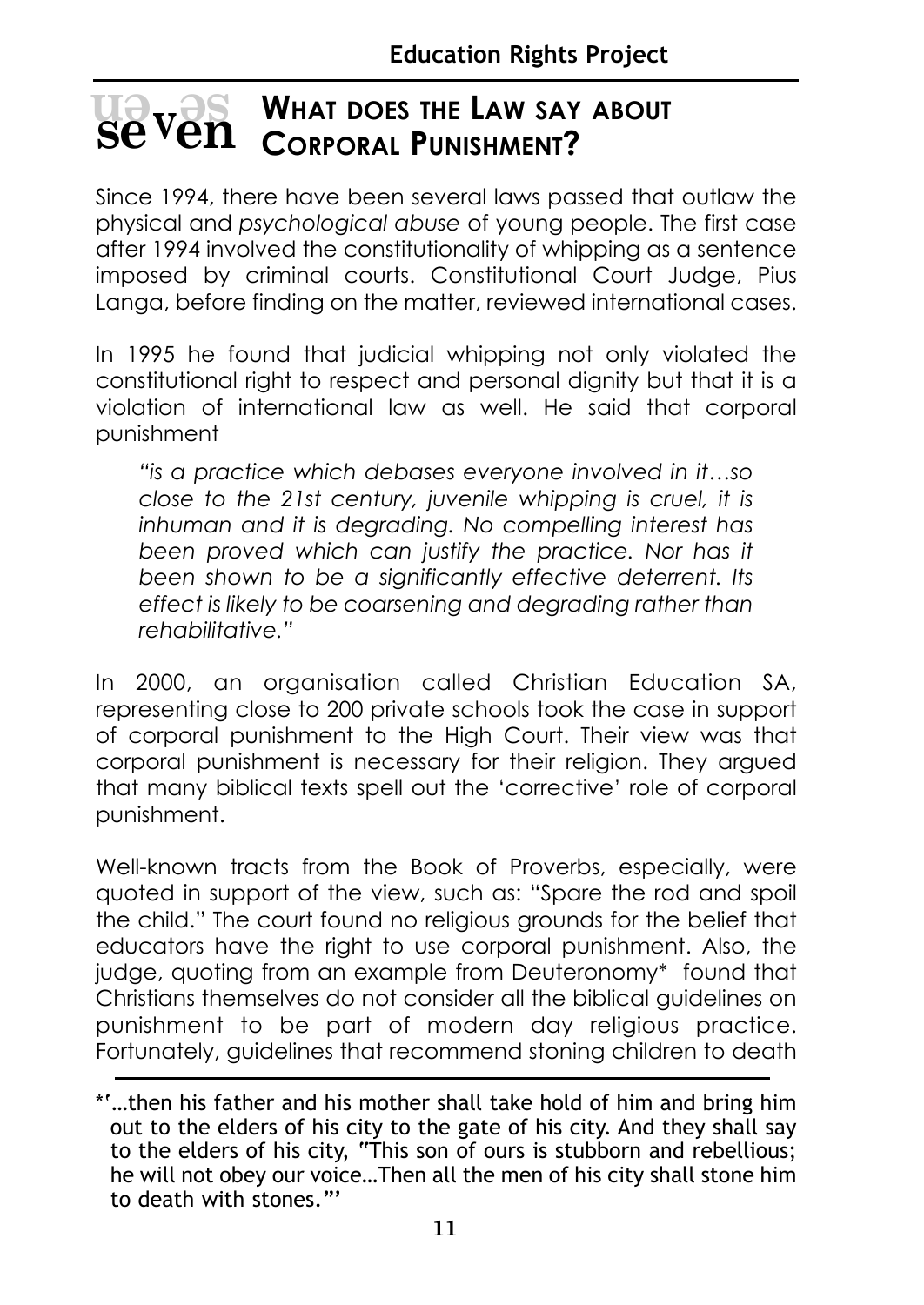## **WHAT DOES THE LAW SAY ABOUT EXPORAL WHAT DOES THE LAW SAY**<br> **SE VEN** CORPORAL PUNISHMENT?

Since 1994, there have been several laws passed that outlaw the physical and *psychological abuse* of young people. The first case after 1994 involved the constitutionality of whipping as a sentence imposed by criminal courts. Constitutional Court Judge, Pius Langa, before finding on the matter, reviewed international cases.

In 1995 he found that judicial whipping not only violated the constitutional right to respect and personal dignity but that it is a violation of international law as well. He said that corporal punishment

*"is a practice which debases everyone involved in it…so close to the 21st century, juvenile whipping is cruel, it is inhuman and it is degrading. No compelling interest has been proved which can justify the practice. Nor has it been shown to be a significantly effective deterrent. Its effect is likely to be coarsening and degrading rather than rehabilitative."* 

In 2000, an organisation called Christian Education SA, representing close to 200 private schools took the case in support of corporal punishment to the High Court. Their view was that corporal punishment is necessary for their religion. They argued that many biblical texts spell out the 'corrective' role of corporal punishment.

Well-known tracts from the Book of Proverbs, especially, were quoted in support of the view, such as: "Spare the rod and spoil the child." The court found no religious grounds for the belief that educators have the right to use corporal punishment. Also, the judge, quoting from an example from Deuteronomy\* found that Christians themselves do not consider all the biblical guidelines on punishment to be part of modern day religious practice. Fortunately, guidelines that recommend stoning children to death

<sup>\*&#</sup>x27;…then his father and his mother shall take hold of him and bring him out to the elders of his city to the gate of his city. And they shall say to the elders of his city, "This son of ours is stubborn and rebellious; he will not obey our voice…Then all the men of his city shall stone him to death with stones."'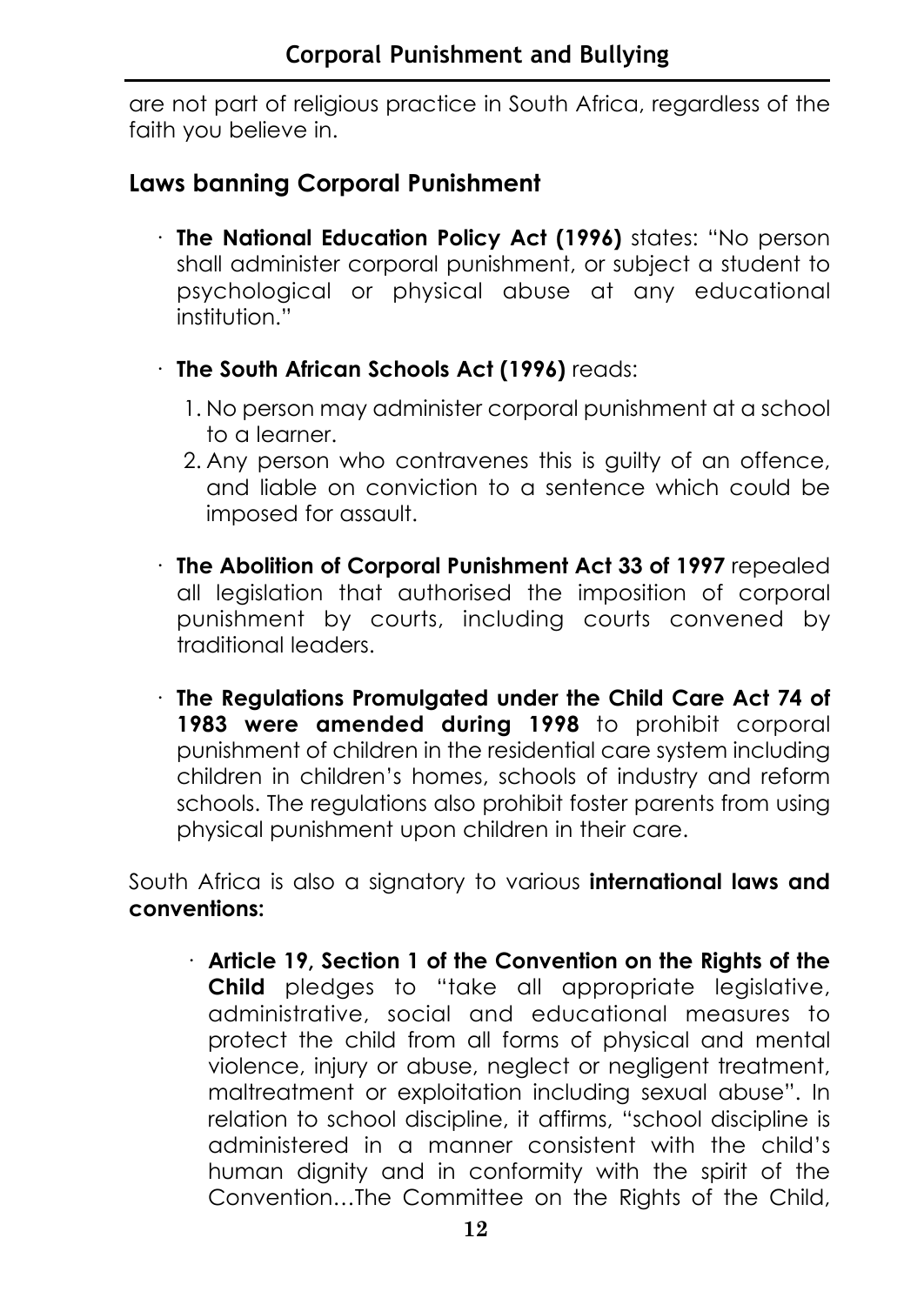are not part of religious practice in South Africa, regardless of the faith you believe in.

#### **Laws banning Corporal Punishment**

- · **The National Education Policy Act (1996)** states: "No person shall administer corporal punishment, or subject a student to psychological or physical abuse at any educational institution."
- · **The South African Schools Act (1996)** reads:
	- 1. No person may administer corporal punishment at a school to a learner.
	- 2. Any person who contravenes this is guilty of an offence, and liable on conviction to a sentence which could be imposed for assault.
- · **The Abolition of Corporal Punishment Act 33 of 1997** repealed all legislation that authorised the imposition of corporal punishment by courts, including courts convened by traditional leaders.
- · **The Regulations Promulgated under the Child Care Act 74 of 1983 were amended during 1998** to prohibit corporal punishment of children in the residential care system including children in children's homes, schools of industry and reform schools. The regulations also prohibit foster parents from using physical punishment upon children in their care.

South Africa is also a signatory to various **international laws and conventions:**

· **Article 19, Section 1 of the Convention on the Rights of the Child** pledges to "take all appropriate legislative, administrative, social and educational measures to protect the child from all forms of physical and mental violence, injury or abuse, neglect or negligent treatment, maltreatment or exploitation including sexual abuse". In relation to school discipline, it affirms, "school discipline is administered in a manner consistent with the child's human dignity and in conformity with the spirit of the Convention…The Committee on the Rights of the Child,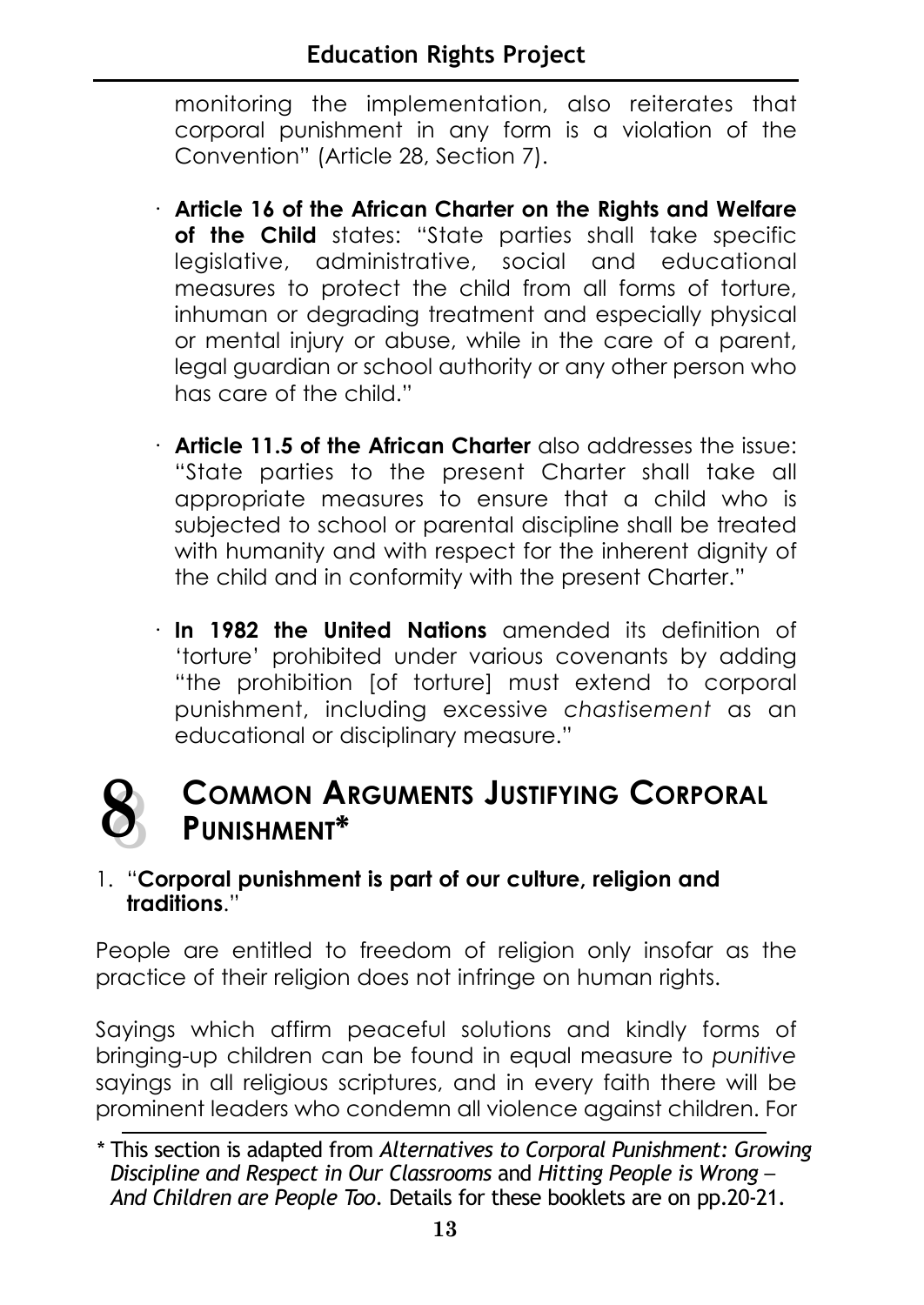monitoring the implementation, also reiterates that corporal punishment in any form is a violation of the Convention" (Article 28, Section 7).

- · **Article 16 of the African Charter on the Rights and Welfare** of the Child states: "State parties shall take specific legislative, administrative, social and educational measures to protect the child from all forms of torture, inhuman or degrading treatment and especially physical or mental injury or abuse, while in the care of a parent, legal guardian or school authority or any other person who has care of the child."
- · **Article 11.5 of the African Charter** also addresses the issue: "State parties to the present Charter shall take all appropriate measures to ensure that a child who is subjected to school or parental discipline shall be treated with humanity and with respect for the inherent dignity of the child and in conformity with the present Charter."
- · **In 1982 the United Nations** amended its definition of 'torture' prohibited under various covenants by adding "the prohibition [of torture] must extend to corporal punishment, including excessive *chastisement* as an educational or disciplinary measure."

#### **COMMON ARGUMENTS JUSTIFYING CORPORAL PUNISHMENT\* 8 8**

#### 1. "**Corporal punishment is part of our culture, religion and traditions**."

People are entitled to freedom of religion only insofar as the practice of their religion does not infringe on human rights.

Sayings which affirm peaceful solutions and kindly forms of bringing-up children can be found in equal measure to *punitive* sayings in all religious scriptures, and in every faith there will be prominent leaders who condemn all violence against children. For

<sup>\*</sup> This section is adapted from *Alternatives to Corporal Punishment: Growing Discipline and Respect in Our Classrooms* and *Hitting People is Wrong* – *And Children are People Too*. Details for these booklets are on pp.20-21.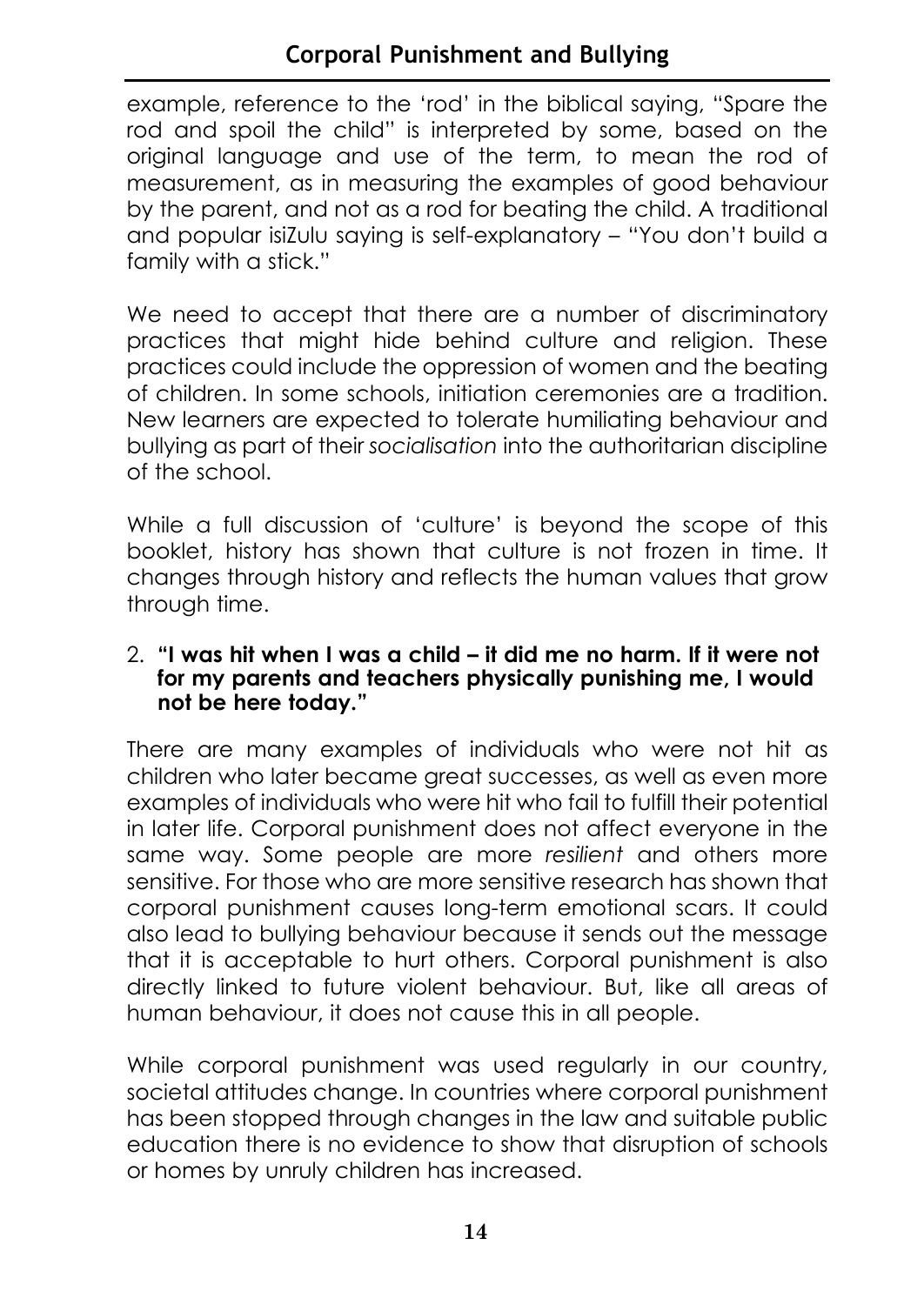#### **Corporal Punishment and Bullying**

example, reference to the 'rod' in the biblical saying, "Spare the rod and spoil the child" is interpreted by some, based on the original language and use of the term, to mean the rod of measurement, as in measuring the examples of good behaviour by the parent, and not as a rod for beating the child. A traditional and popular isiZulu saying is self-explanatory – "You don't build a family with a stick."

We need to accept that there are a number of discriminatory practices that might hide behind culture and religion. These practices could include the oppression of women and the beating of children. In some schools, initiation ceremonies are a tradition. New learners are expected to tolerate humiliating behaviour and bullying as part of their *socialisation* into the authoritarian discipline of the school.

While a full discussion of 'culture' is beyond the scope of this booklet, history has shown that culture is not frozen in time. It changes through history and reflects the human values that grow through time.

#### 2. **"I was hit when I was a child – it did me no harm. If it were not for my parents and teachers physically punishing me, I would not be here today."**

There are many examples of individuals who were not hit as children who later became great successes, as well as even more examples of individuals who were hit who fail to fulfill their potential in later life. Corporal punishment does not affect everyone in the same way. Some people are more *resilient* and others more sensitive. For those who are more sensitive research has shown that corporal punishment causes long-term emotional scars. It could also lead to bullying behaviour because it sends out the message that it is acceptable to hurt others. Corporal punishment is also directly linked to future violent behaviour. But, like all areas of human behaviour, it does not cause this in all people.

While corporal punishment was used regularly in our country, societal attitudes change. In countries where corporal punishment has been stopped through changes in the law and suitable public education there is no evidence to show that disruption of schools or homes by unruly children has increased.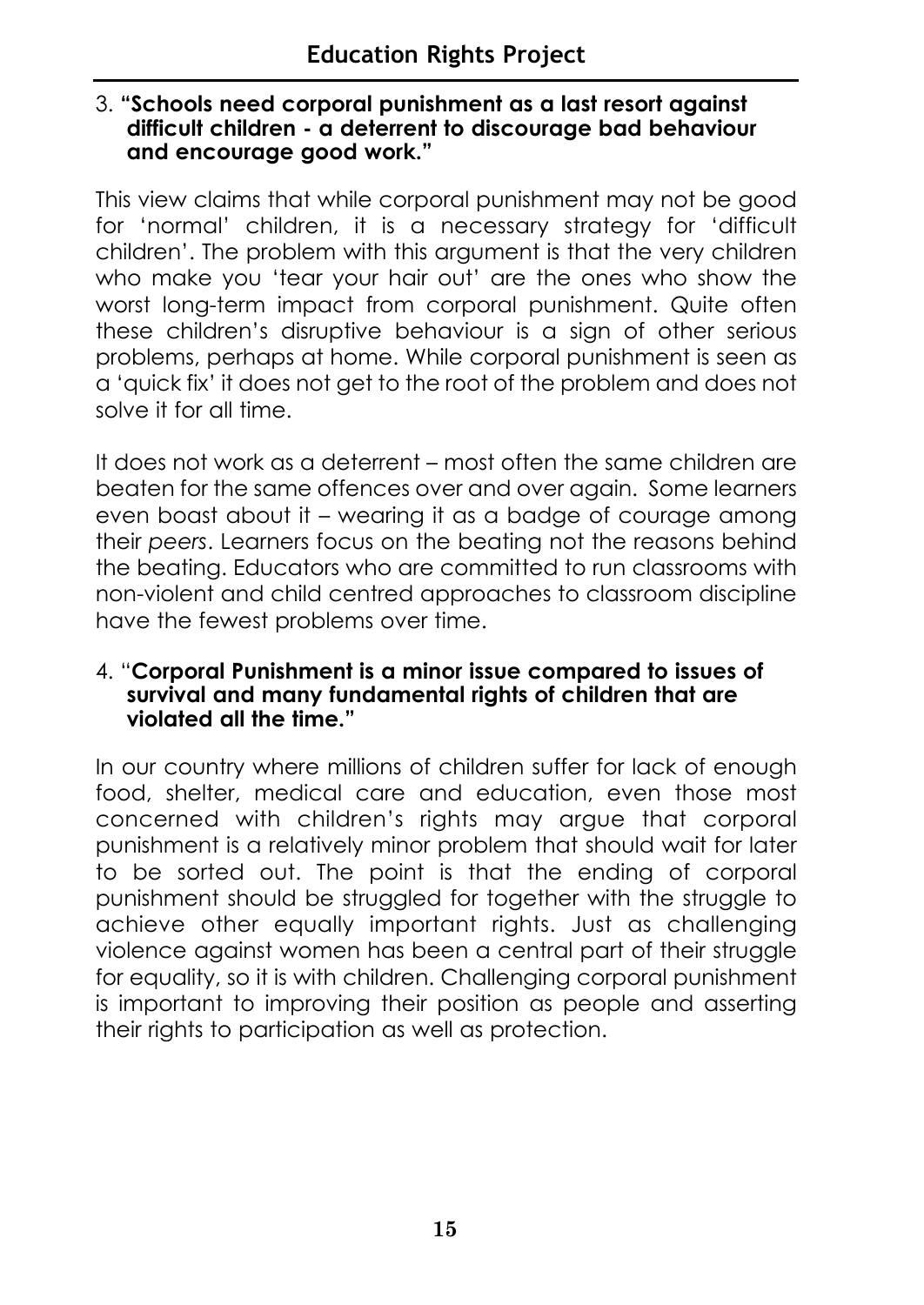#### 3. **"Schools need corporal punishment as a last resort against difficult children - a deterrent to discourage bad behaviour and encourage good work."**

This view claims that while corporal punishment may not be good for 'normal' children, it is a necessary strategy for 'difficult children'. The problem with this argument is that the very children who make you 'tear your hair out' are the ones who show the worst long-term impact from corporal punishment. Quite often these children's disruptive behaviour is a sign of other serious problems, perhaps at home. While corporal punishment is seen as a 'quick fix' it does not get to the root of the problem and does not solve it for all time.

It does not work as a deterrent – most often the same children are beaten for the same offences over and over again. Some learners even boast about it – wearing it as a badge of courage among their *peers*. Learners focus on the beating not the reasons behind the beating. Educators who are committed to run classrooms with non-violent and child centred approaches to classroom discipline have the fewest problems over time.

#### 4. "**Corporal Punishment is a minor issue compared to issues of survival and many fundamental rights of children that are violated all the time."**

In our country where millions of children suffer for lack of enough food, shelter, medical care and education, even those most concerned with children's rights may argue that corporal punishment is a relatively minor problem that should wait for later to be sorted out. The point is that the ending of corporal punishment should be struggled for together with the struggle to achieve other equally important rights. Just as challenging violence against women has been a central part of their struggle for equality, so it is with children. Challenging corporal punishment is important to improving their position as people and asserting their rights to participation as well as protection.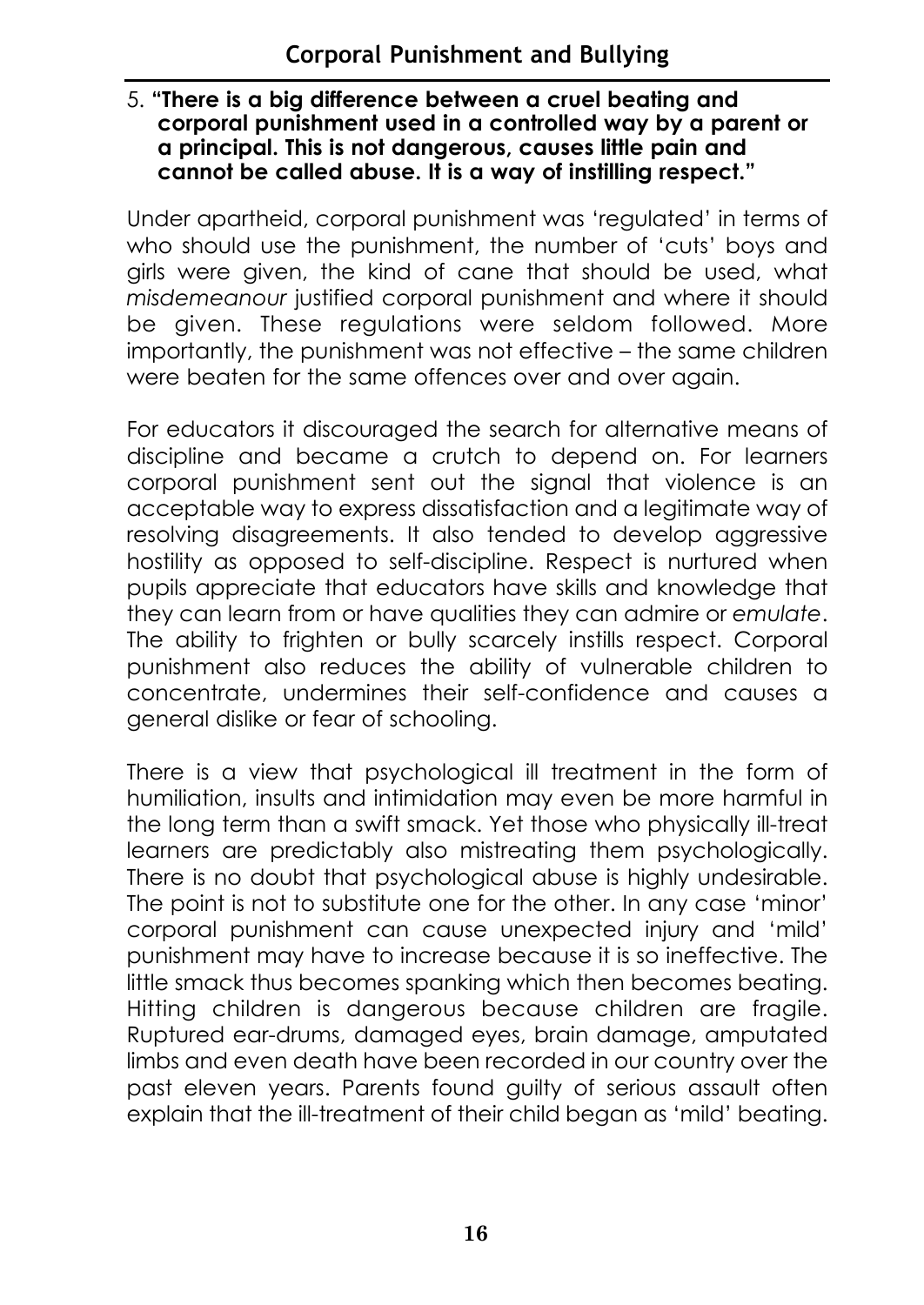#### 5. **"There is a big difference between a cruel beating and corporal punishment used in a controlled way by a parent or a principal. This is not dangerous, causes little pain and cannot be called abuse. It is a way of instilling respect."**

Under apartheid, corporal punishment was 'regulated' in terms of who should use the punishment, the number of 'cuts' boys and girls were given, the kind of cane that should be used, what *misdemeanour* justified corporal punishment and where it should be given. These regulations were seldom followed. More importantly, the punishment was not effective – the same children were beaten for the same offences over and over again.

For educators it discouraged the search for alternative means of discipline and became a crutch to depend on. For learners corporal punishment sent out the signal that violence is an acceptable way to express dissatisfaction and a legitimate way of resolving disagreements. It also tended to develop aggressive hostility as opposed to self-discipline. Respect is nurtured when pupils appreciate that educators have skills and knowledge that they can learn from or have qualities they can admire or *emulate*. The ability to frighten or bully scarcely instills respect. Corporal punishment also reduces the ability of vulnerable children to concentrate, undermines their self-confidence and causes a general dislike or fear of schooling.

There is a view that psychological ill treatment in the form of humiliation, insults and intimidation may even be more harmful in the long term than a swift smack. Yet those who physically ill-treat learners are predictably also mistreating them psychologically. There is no doubt that psychological abuse is highly undesirable. The point is not to substitute one for the other. In any case 'minor' corporal punishment can cause unexpected injury and 'mild' punishment may have to increase because it is so ineffective. The little smack thus becomes spanking which then becomes beating. Hitting children is dangerous because children are fragile. Ruptured ear-drums, damaged eyes, brain damage, amputated limbs and even death have been recorded in our country over the past eleven years. Parents found guilty of serious assault often explain that the ill-treatment of their child began as 'mild' beating.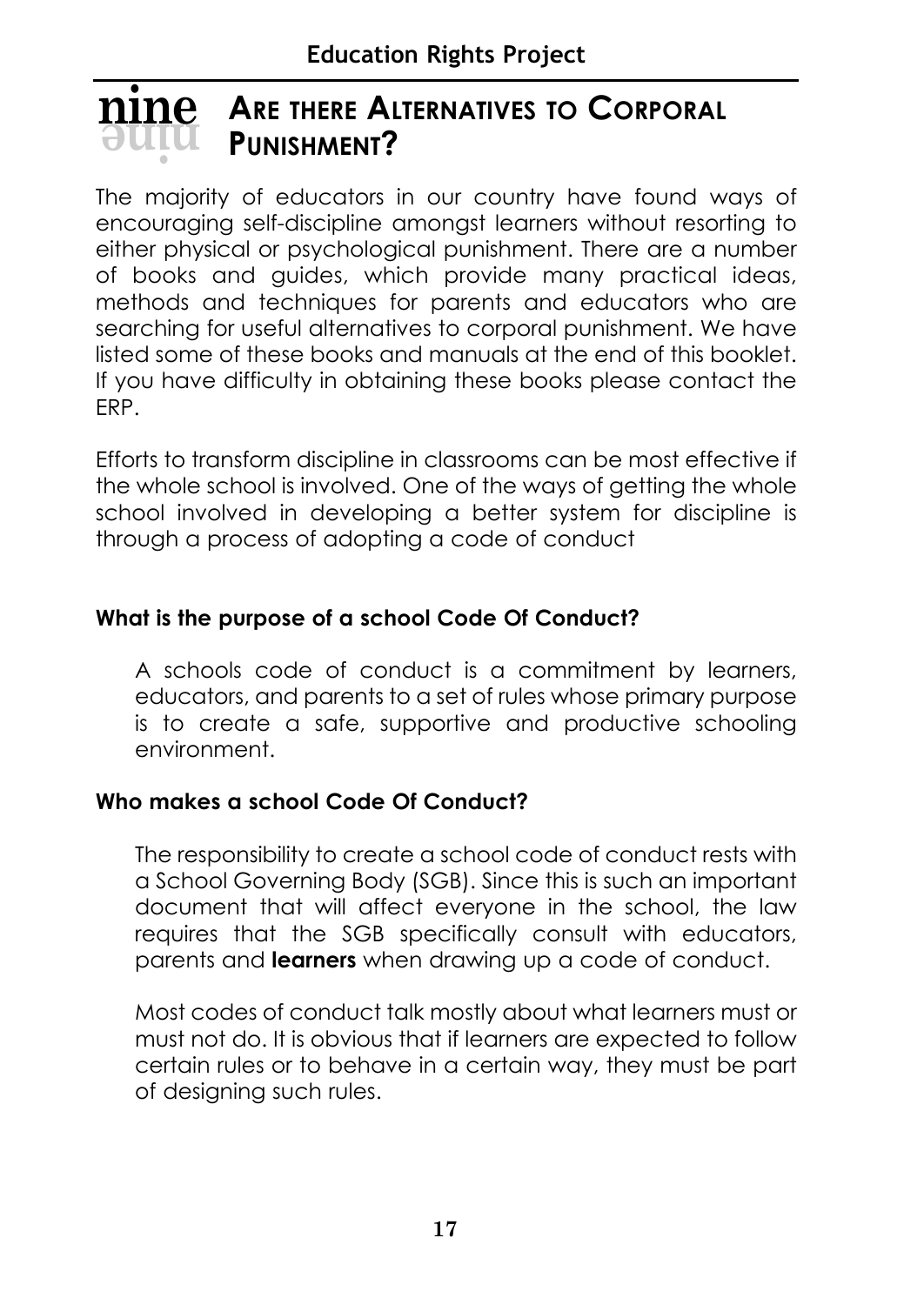#### **ARE THERE ALTERNATIVES TO CORPORAL PUNISHMENT? ninenine**

The majority of educators in our country have found ways of encouraging self-discipline amongst learners without resorting to either physical or psychological punishment. There are a number of books and guides, which provide many practical ideas, methods and techniques for parents and educators who are searching for useful alternatives to corporal punishment. We have listed some of these books and manuals at the end of this booklet. If you have difficulty in obtaining these books please contact the ERP.

Efforts to transform discipline in classrooms can be most effective if the whole school is involved. One of the ways of getting the whole school involved in developing a better system for discipline is through a process of adopting a code of conduct

#### **What is the purpose of a school Code Of Conduct?**

A schools code of conduct is a commitment by learners, educators, and parents to a set of rules whose primary purpose is to create a safe, supportive and productive schooling environment.

#### **Who makes a school Code Of Conduct?**

The responsibility to create a school code of conduct rests with a School Governing Body (SGB). Since this is such an important document that will affect everyone in the school, the law requires that the SGB specifically consult with educators, parents and **learners** when drawing up a code of conduct.

Most codes of conduct talk mostly about what learners must or must not do. It is obvious that if learners are expected to follow certain rules or to behave in a certain way, they must be part of designing such rules.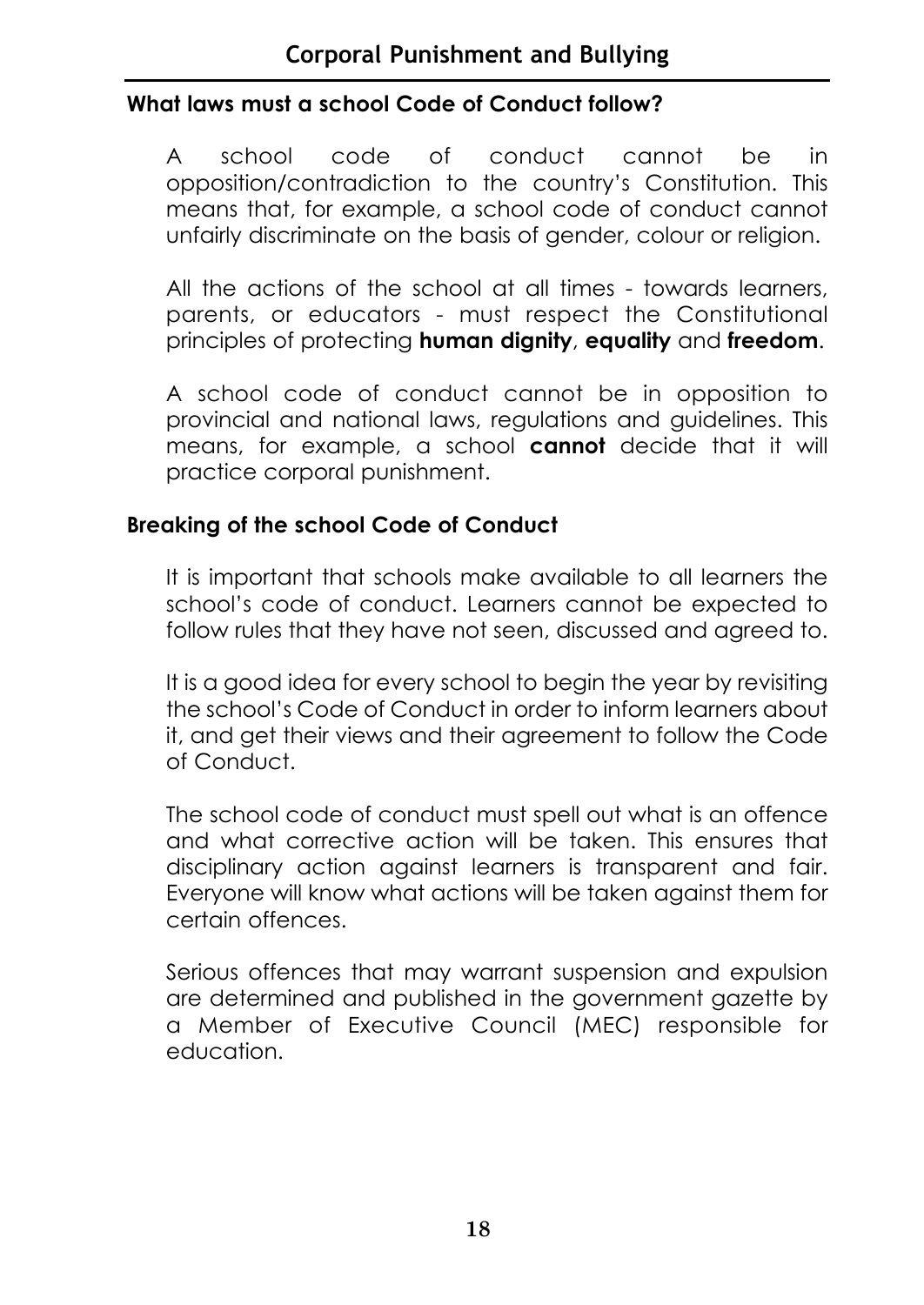#### **What laws must a school Code of Conduct follow?**

A school code of conduct cannot be in opposition/contradiction to the country's Constitution. This means that, for example, a school code of conduct cannot unfairly discriminate on the basis of gender, colour or religion.

All the actions of the school at all times - towards learners, parents, or educators - must respect the Constitutional principles of protecting **human dignity**, **equality** and **freedom**.

A school code of conduct cannot be in opposition to provincial and national laws, regulations and guidelines. This means, for example, a school **cannot** decide that it will practice corporal punishment.

#### **Breaking of the school Code of Conduct**

It is important that schools make available to all learners the school's code of conduct. Learners cannot be expected to follow rules that they have not seen, discussed and agreed to.

It is a good idea for every school to begin the year by revisiting the school's Code of Conduct in order to inform learners about it, and get their views and their agreement to follow the Code of Conduct.

The school code of conduct must spell out what is an offence and what corrective action will be taken. This ensures that disciplinary action against learners is transparent and fair. Everyone will know what actions will be taken against them for certain offences.

Serious offences that may warrant suspension and expulsion are determined and published in the government gazette by a Member of Executive Council (MEC) responsible for education.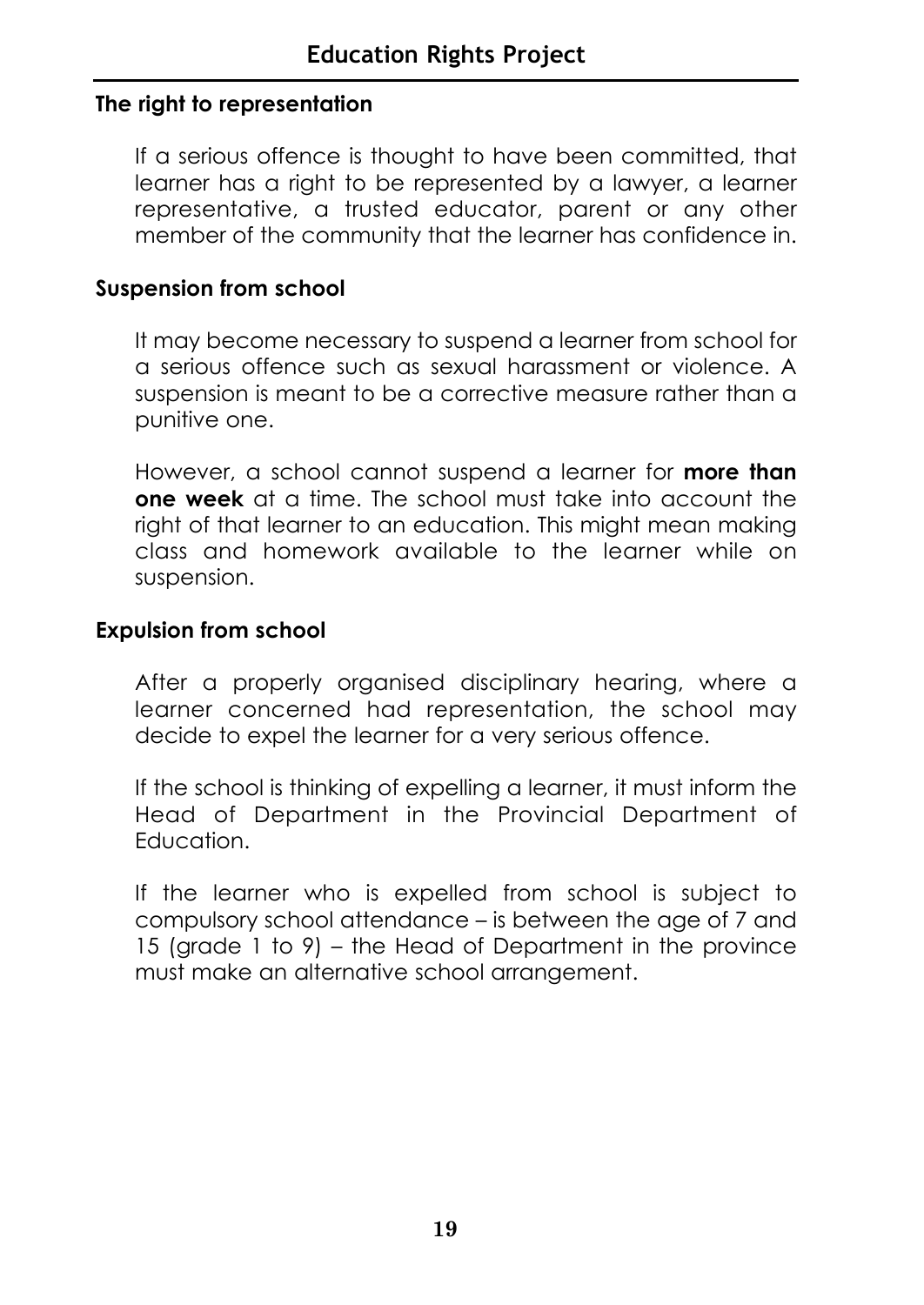#### **The right to representation**

If a serious offence is thought to have been committed, that learner has a right to be represented by a lawyer, a learner representative, a trusted educator, parent or any other member of the community that the learner has confidence in.

#### **Suspension from school**

It may become necessary to suspend a learner from school for a serious offence such as sexual harassment or violence. A suspension is meant to be a corrective measure rather than a punitive one.

However, a school cannot suspend a learner for **more than one week** at a time. The school must take into account the right of that learner to an education. This might mean making class and homework available to the learner while on suspension.

#### **Expulsion from school**

After a properly organised disciplinary hearing, where a learner concerned had representation, the school may decide to expel the learner for a very serious offence.

If the school is thinking of expelling a learner, it must inform the Head of Department in the Provincial Department of **Education** 

If the learner who is expelled from school is subject to compulsory school attendance – is between the age of 7 and 15 (grade 1 to 9) – the Head of Department in the province must make an alternative school arrangement.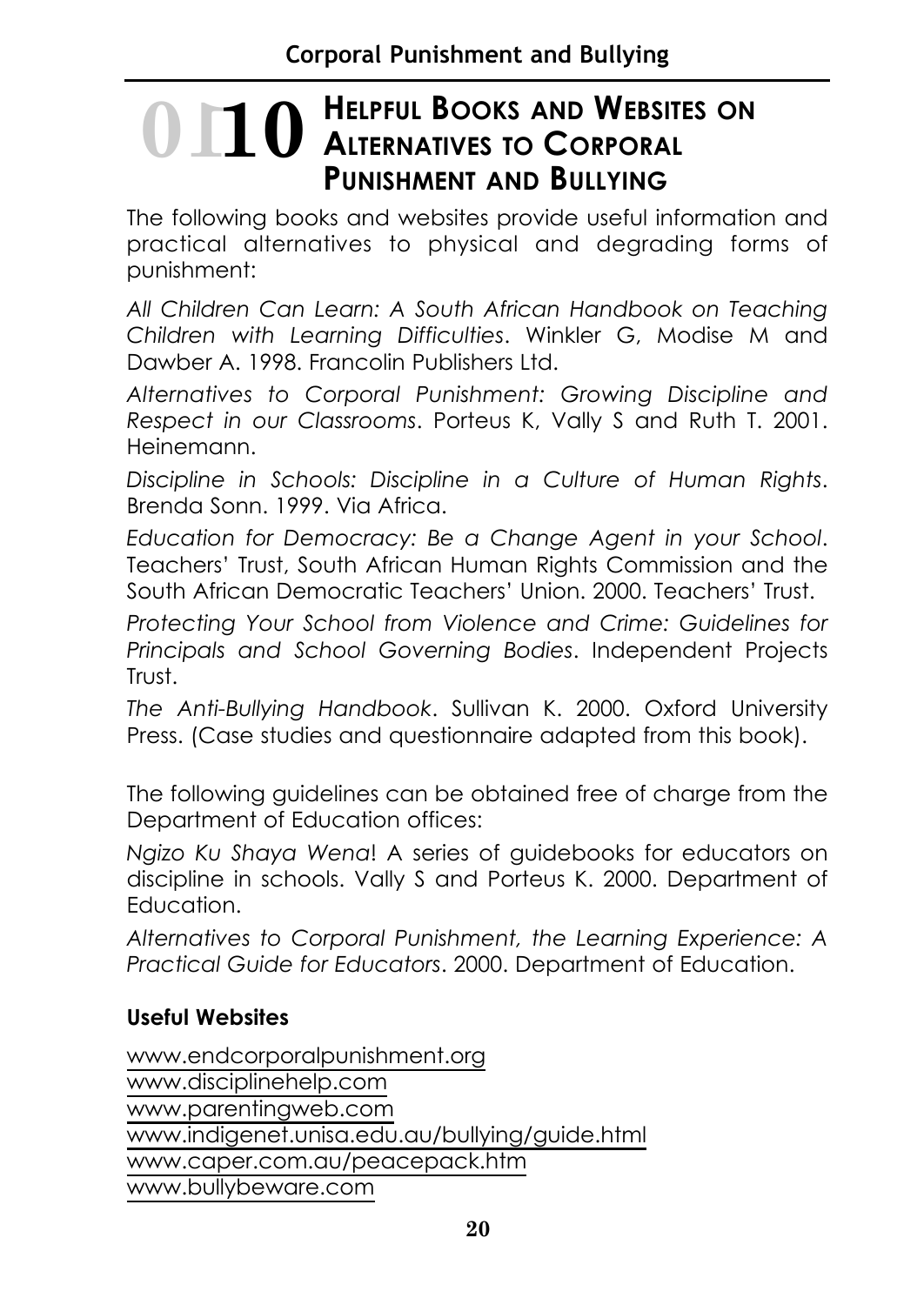# **HELPFUL BOOKS AND WEBSITES ON 10 10 ALTERNATIVES TO CORPORAL PUNISHMENT AND BULLYING**

The following books and websites provide useful information and practical alternatives to physical and degrading forms of punishment:

*All Children Can Learn: A South African Handbook on Teaching Children with Learning Difficulties*. Winkler G, Modise M and Dawber A. 1998. Francolin Publishers Ltd.

*Alternatives to Corporal Punishment: Growing Discipline and Respect in our Classrooms*. Porteus K, Vally S and Ruth T. 2001. Heinemann.

*Discipline in Schools: Discipline in a Culture of Human Rights*. Brenda Sonn. 1999. Via Africa.

*Education for Democracy: Be a Change Agent in your School*. Teachers' Trust, South African Human Rights Commission and the South African Democratic Teachers' Union. 2000. Teachers' Trust.

*Protecting Your School from Violence and Crime: Guidelines for Principals and School Governing Bodies*. Independent Projects Trust.

*The Anti-Bullying Handbook*. Sullivan K. 2000. Oxford University Press. (Case studies and questionnaire adapted from this book).

The following guidelines can be obtained free of charge from the Department of Education offices:

*Ngizo Ku Shaya Wena*! A series of guidebooks for educators on discipline in schools. Vally S and Porteus K. 2000. Department of Education.

*Alternatives to Corporal Punishment, the Learning Experience: A Practical Guide for Educators*. 2000. Department of Education.

#### **Useful Websites**

www.endcorporalpunishment.org www.disciplinehelp.com www.parentingweb.com www.indigenet.unisa.edu.au/bullying/guide.html www.caper.com.au/peacepack.htm www.bullybeware.com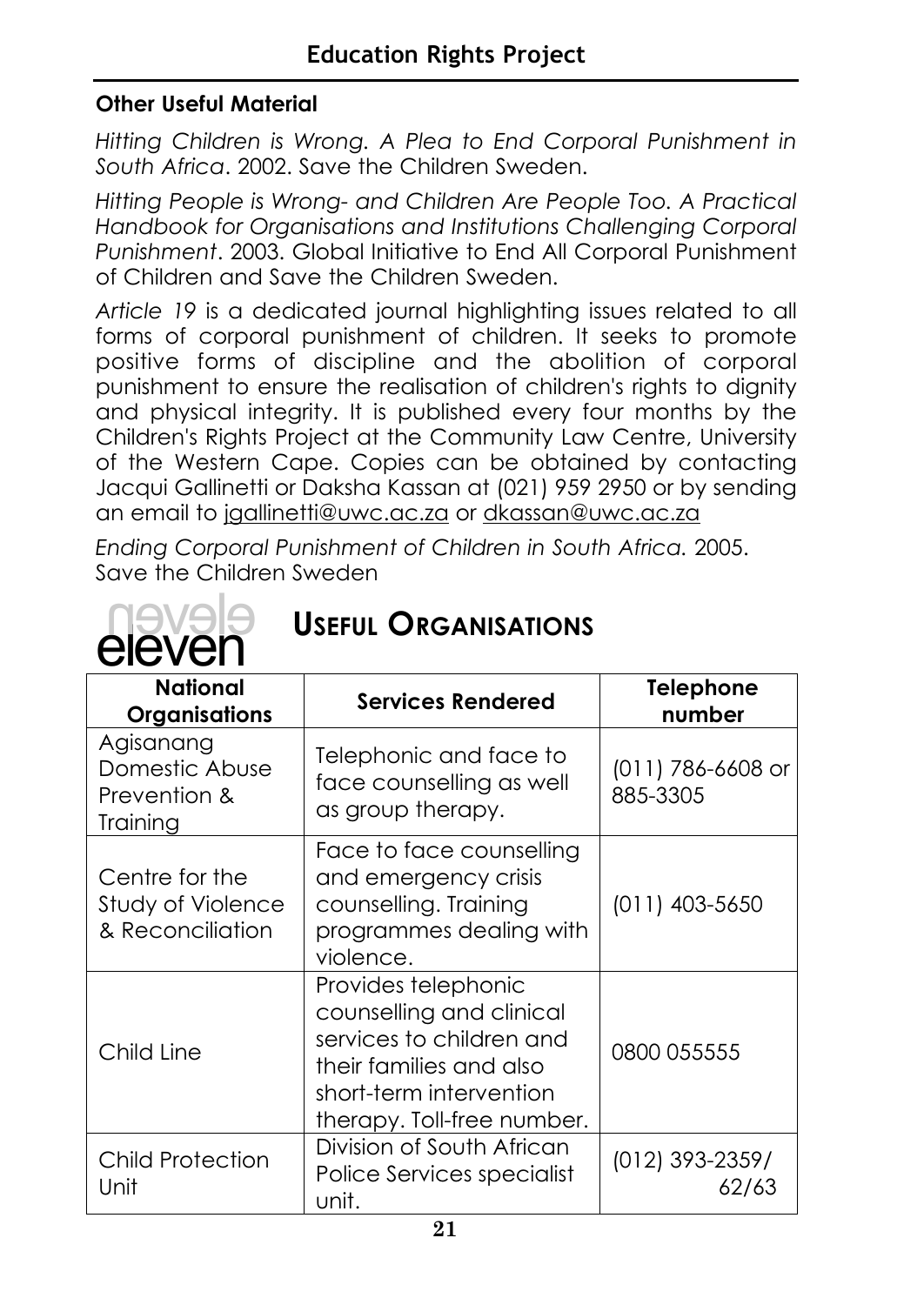#### **Other Useful Material**

*Hitting Children is Wrong. A Plea to End Corporal Punishment in South Africa*. 2002. Save the Children Sweden.

*Hitting People is Wrong- and Children Are People Too. A Practical Handbook for Organisations and Institutions Challenging Corporal Punishment*. 2003. Global Initiative to End All Corporal Punishment of Children and Save the Children Sweden.

*Article 19* is a dedicated journal highlighting issues related to all forms of corporal punishment of children. It seeks to promote positive forms of discipline and the abolition of corporal punishment to ensure the realisation of children's rights to dignity and physical integrity. It is published every four months by the Children's Rights Project at the Community Law Centre, University of the Western Cape. Copies can be obtained by contacting Jacqui Gallinetti or Daksha Kassan at (021) 959 2950 or by sending an email to jgallinetti@uwc.ac.za or dkassan@uwc.ac.za

*Ending Corporal Punishment of Children in South Africa.* 2005. Save the Children Sweden

| <b>USEFUL ORGANISATIONS</b><br>eleven                   |                                                                                                                   |                                |  |
|---------------------------------------------------------|-------------------------------------------------------------------------------------------------------------------|--------------------------------|--|
| National<br><b>Organisations</b>                        | <b>Services Rendered</b>                                                                                          | <b>Telephone</b><br>number     |  |
| Agisanang<br>Domestic Abuse<br>Prevention &<br>Training | Telephonic and face to<br>face counselling as well<br>as group therapy.                                           | $(011) 786 - 6608$<br>885-3305 |  |
| Centre for the<br>Study of Violence<br>& Reconciliation | Face to face counselling<br>and emergency crisis<br>counselling. Training<br>programmes dealing with<br>violence. | $(011)$ 403-5650               |  |
| Child Line                                              | Provides telephonic<br>counselling and clinical<br>services to children and<br>their families and also            | 0800 055555                    |  |

# **USEFUL ORGANISATIONS**

(011) 786-6608 or

| 21                                    |                                                                                                                                                                 |                          |
|---------------------------------------|-----------------------------------------------------------------------------------------------------------------------------------------------------------------|--------------------------|
| <b>Child Protection</b><br>Unit       | Division of South African<br>Police Services specialist<br>unit.                                                                                                | (012) 393-2359/<br>62/63 |
| Child Line                            | Provides telephonic<br>counselling and clinical<br>services to children and<br>their families and also<br>short-term intervention<br>therapy. Toll-free number. | 0800 055555              |
| Study of Violence<br>& Reconciliation | counselling. Training<br>programmes dealing with<br>violence.                                                                                                   | $(011)$ 403-5650         |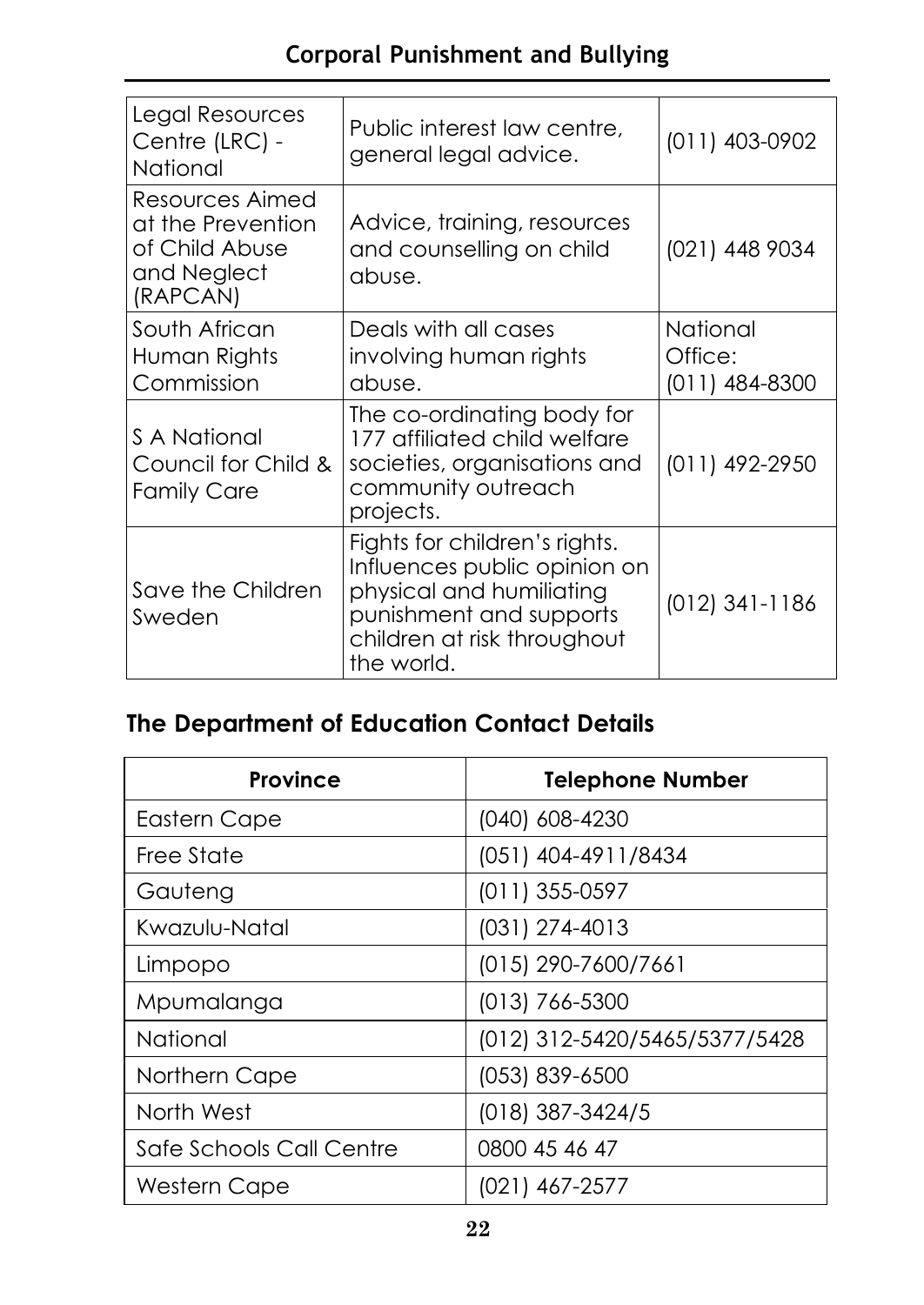#### **Corporal Punishment and Bullying**

| Legal Resources<br>Centre (LRC) -<br>National                                     | Public interest law centre,<br>general legal advice.                                                                                                              | $(011)$ 403-0902                        |
|-----------------------------------------------------------------------------------|-------------------------------------------------------------------------------------------------------------------------------------------------------------------|-----------------------------------------|
| Resources Aimed<br>at the Prevention<br>of Child Abuse<br>and Neglect<br>(RAPCAN) | Advice, training, resources<br>and counselling on child<br>abuse.                                                                                                 | (021) 448 9034                          |
| South African<br>Human Rights<br>Commission                                       | Deals with all cases<br>involving human rights<br>abuse.                                                                                                          | National<br>Office:<br>$(011)$ 484-8300 |
| S A National<br>Council for Child &<br><b>Family Care</b>                         | The co-ordinating body for<br>177 affiliated child welfare<br>societies, organisations and<br>community outreach<br>projects.                                     | (011) 492-2950                          |
| Save the Children<br>Sweden                                                       | Fights for children's rights.<br>Influences public opinion on<br>physical and humiliating<br>punishment and supports<br>children at risk throughout<br>the world. | $(012)$ 341-1186                        |

#### **The Department of Education Contact Details**

| <b>Province</b>          | <b>Telephone Number</b>       |
|--------------------------|-------------------------------|
| Eastern Cape             | (040) 608-4230                |
| Free State               | (051) 404-4911/8434           |
| Gauteng                  | $(011)$ 355-0597              |
| Kwazulu-Natal            | $(031)$ 274-4013              |
| Limpopo                  | (015) 290-7600/7661           |
| Mpumalanga               | $(013)$ 766-5300              |
| National                 | (012) 312-5420/5465/5377/5428 |
| Northern Cape            | (053) 839-6500                |
| North West               | (018) 387-3424/5              |
| Safe Schools Call Centre | 0800 45 46 47                 |
| <b>Western Cape</b>      | (021) 467-2577                |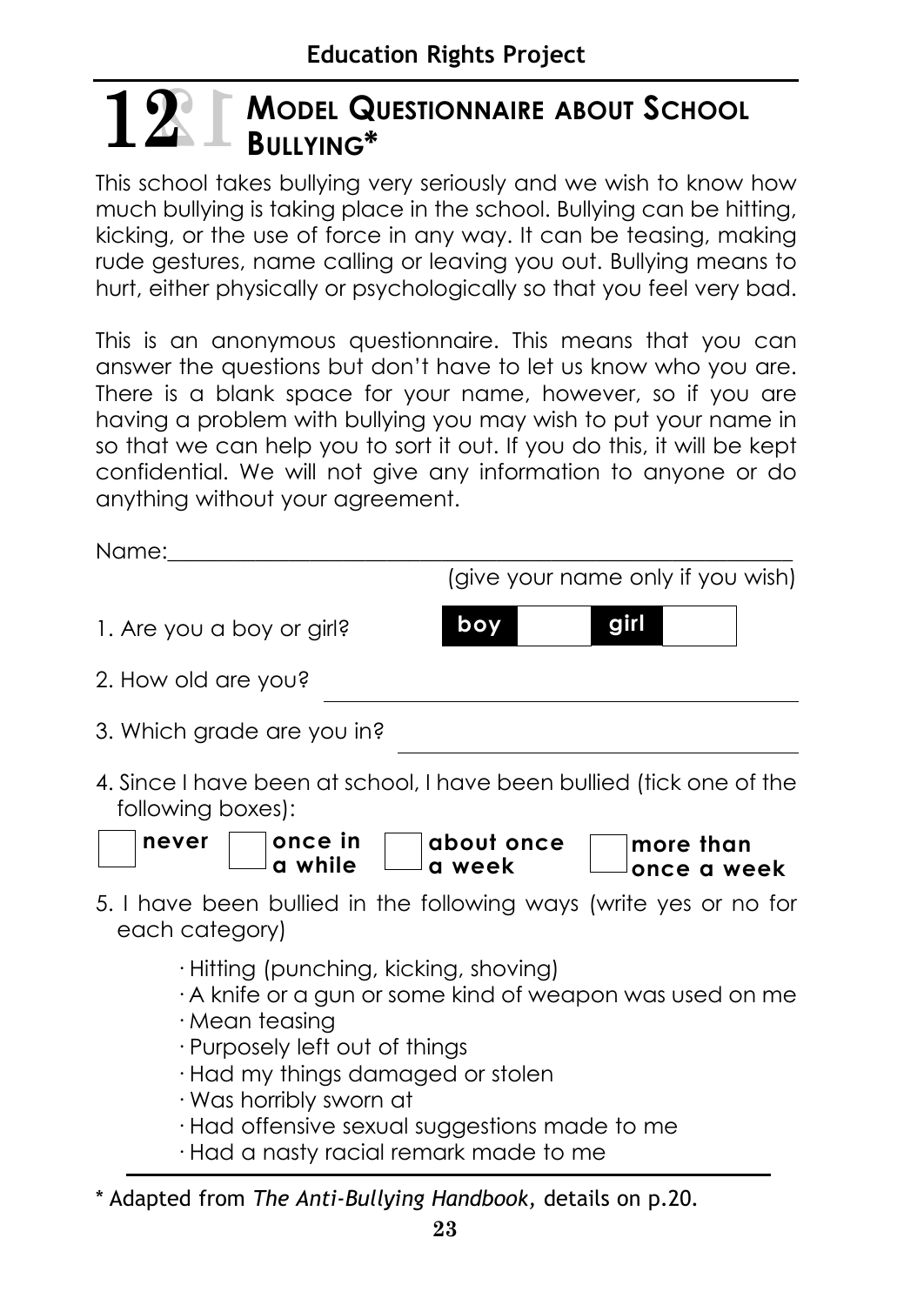# **MODEL QUESTIONNAIRE ABOUT SCHOOL**  $12$  **12 MODEL Q**

This school takes bullying very seriously and we wish to know how much bullying is taking place in the school. Bullying can be hitting, kicking, or the use of force in any way. It can be teasing, making rude gestures, name calling or leaving you out. Bullying means to hurt, either physically or psychologically so that you feel very bad.

This is an anonymous questionnaire. This means that you can answer the questions but don't have to let us know who you are. There is a blank space for your name, however, so if you are having a problem with bullying you may wish to put your name in so that we can help you to sort it out. If you do this, it will be kept confidential. We will not give any information to anyone or do anything without your agreement.

Name:

|                                                                                                                                                                                                                         | (give your name only if you wish)                                                                                        |
|-------------------------------------------------------------------------------------------------------------------------------------------------------------------------------------------------------------------------|--------------------------------------------------------------------------------------------------------------------------|
| 1. Are you a boy or girl?                                                                                                                                                                                               | girl<br>boy                                                                                                              |
| 2. How old are you?                                                                                                                                                                                                     |                                                                                                                          |
| 3. Which grade are you in?                                                                                                                                                                                              |                                                                                                                          |
| following boxes):<br>once in<br>never<br>a while                                                                                                                                                                        | 4. Since I have been at school, I have been bullied (tick one of the<br>about once<br>more than<br>a week<br>once a week |
| each category)                                                                                                                                                                                                          | 5. I have been bullied in the following ways (write yes or no for                                                        |
| · Hitting (punching, kicking, shoving)<br>$\cdot$ Mean teasing<br>· Purposely left out of things<br>· Had my things damaged or stolen<br>· Was horribly sworn at<br>$\cdot$ Had offensive sexual suggestions made to me | A knife or a gun or some kind of weapon was used on me                                                                   |

- · Had a nasty racial remark made to me
- \* Adapted from *The Anti-Bullying Handbook,* details on p.20*.*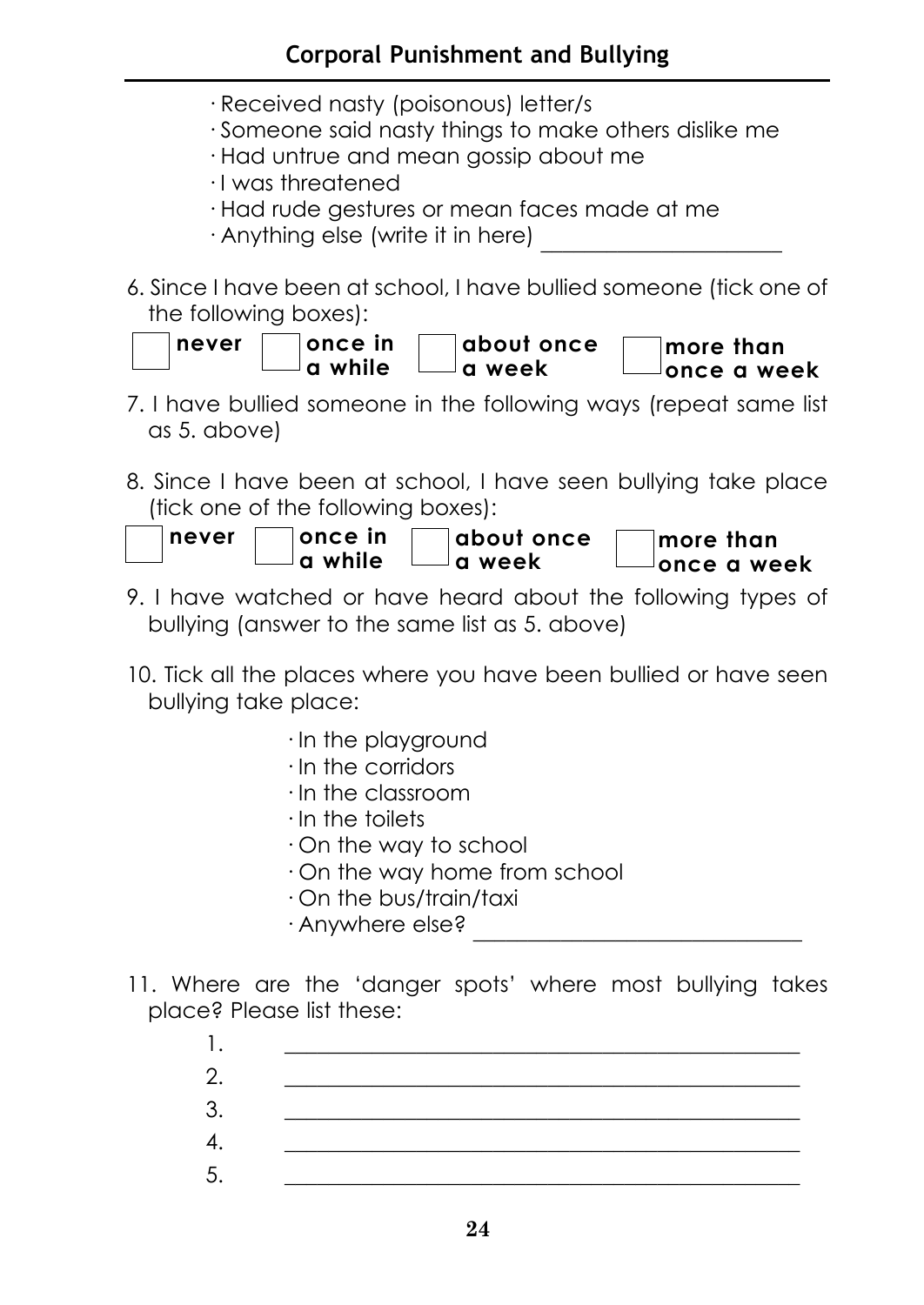- · Received nasty (poisonous) letter/s
- · Someone said nasty things to make others dislike me
- · Had untrue and mean gossip about me
- · I was threatened
- · Had rude gestures or mean faces made at me
- $\cdot$  Anything else (write it in here)
- 6. Since I have been at school, I have bullied someone (tick one of the following boxes):



- 7. I have bullied someone in the following ways (repeat same list as 5. above)
- 8. Since I have been at school, I have seen bullying take place (tick one of the following boxes):

| ∣never | ⊺once in       | about once | more than          |
|--------|----------------|------------|--------------------|
|        | $\Box$ a while | └─a week   | $\Box$ once a week |

- 9. I have watched or have heard about the following types of bullying (answer to the same list as 5. above)
- 10. Tick all the places where you have been bullied or have seen bullying take place:
	- · In the playground
	- · In the corridors
	- · In the classroom
	- · In the toilets
	- · On the way to school
	- · On the way home from school
	- · On the bus/train/taxi
	- · Anywhere else? \_\_\_\_\_\_\_\_\_\_\_\_\_\_\_\_\_\_\_\_\_\_\_\_\_\_\_\_\_\_
- 11. Where are the 'danger spots' where most bullying takes place? Please list these:

| 2  |  |
|----|--|
| 3. |  |
| 4  |  |
| 5  |  |
|    |  |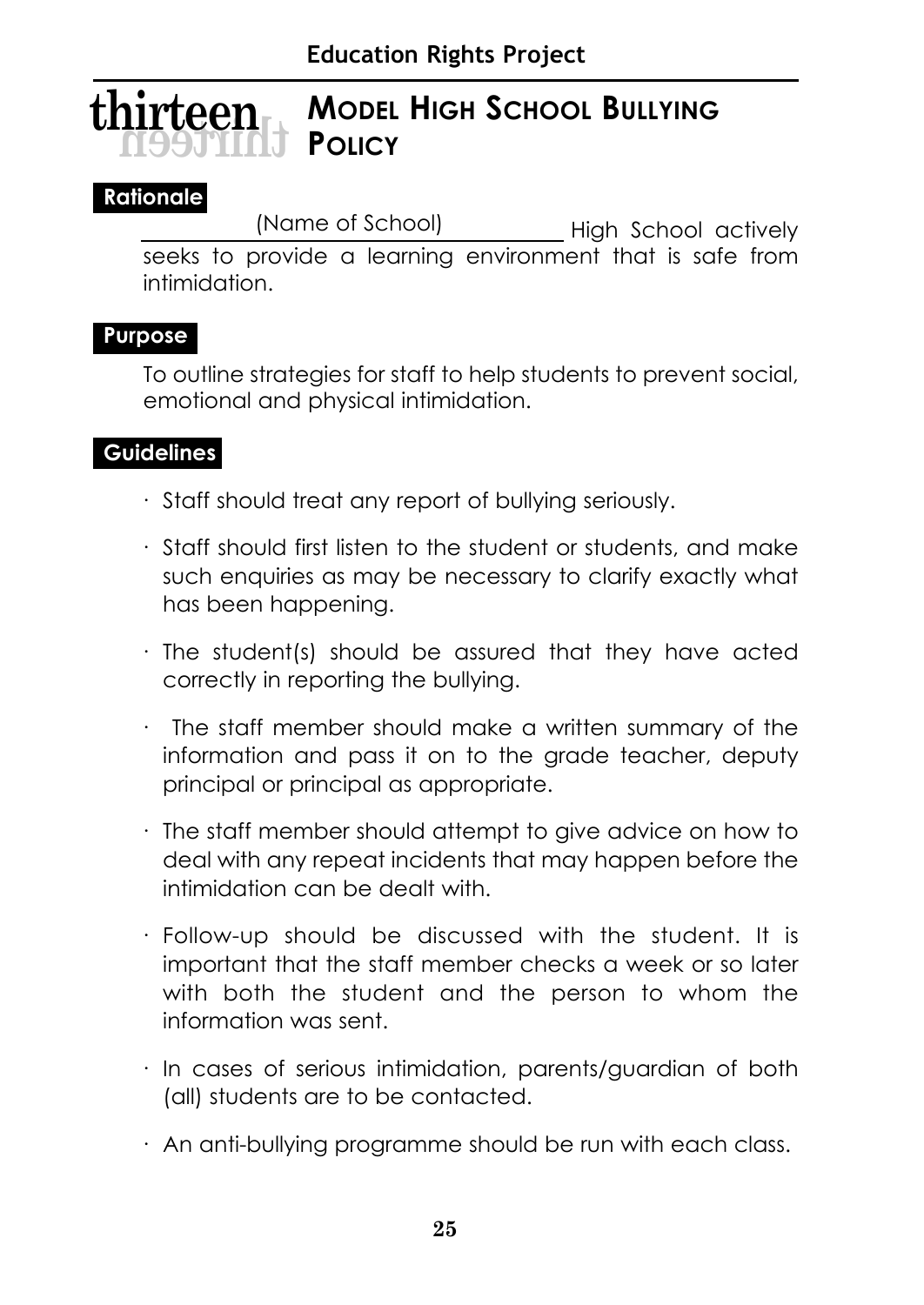#### **MODEL HIGH SCHOOL BULLYING POLICY thirteen thirteen**

#### **Rationale**

(Name of School) High School actively seeks to provide a learning environment that is safe from intimidation.

#### **Purpose**

To outline strategies for staff to help students to prevent social, emotional and physical intimidation.

#### **Guidelines**

- · Staff should treat any report of bullying seriously.
- · Staff should first listen to the student or students, and make such enquiries as may be necessary to clarify exactly what has been happening.
- · The student(s) should be assured that they have acted correctly in reporting the bullying.
- · The staff member should make a written summary of the information and pass it on to the grade teacher, deputy principal or principal as appropriate.
- · The staff member should attempt to give advice on how to deal with any repeat incidents that may happen before the intimidation can be dealt with.
- · Follow-up should be discussed with the student. It is important that the staff member checks a week or so later with both the student and the person to whom the information was sent.
- · In cases of serious intimidation, parents/guardian of both (all) students are to be contacted.
- · An anti-bullying programme should be run with each class.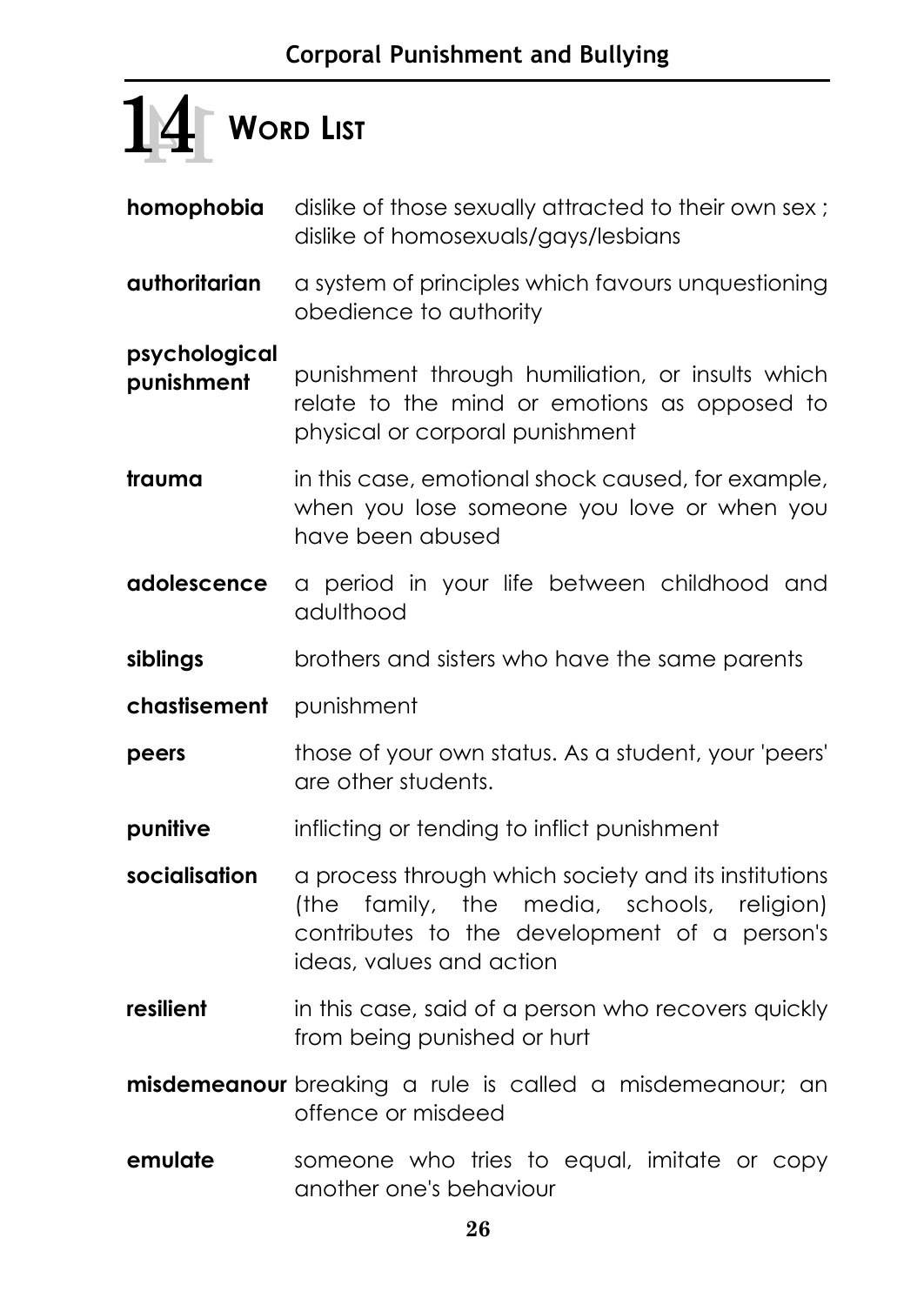## **WORD LIST 14 14**

- **homophobia** dislike of those sexually attracted to their own sex; dislike of homosexuals/gays/lesbians
- **authoritarian** a system of principles which favours unquestioning obedience to authority

**psychological** 

**punishment** punishment through humiliation, or insults which relate to the mind or emotions as opposed to physical or corporal punishment

**trauma** in this case, emotional shock caused, for example, when you lose someone you love or when you have been abused

- **adolescence** a period in your life between childhood and adulthood
- **siblings** brothers and sisters who have the same parents
- **chastisement** punishment
- **peers** those of your own status. As a student, your 'peers' are other students.
- **punitive** inflicting or tending to inflict punishment
- socialisation a process through which society and its institutions (the family, the media, schools, religion) contributes to the development of a person's ideas, values and action
- **resilient** in this case, said of a person who recovers quickly from being punished or hurt
- **misdemeanour** breaking a rule is called a misdemeanour; an offence or misdeed
- **emulate** someone who tries to equal, imitate or copy another one's behaviour